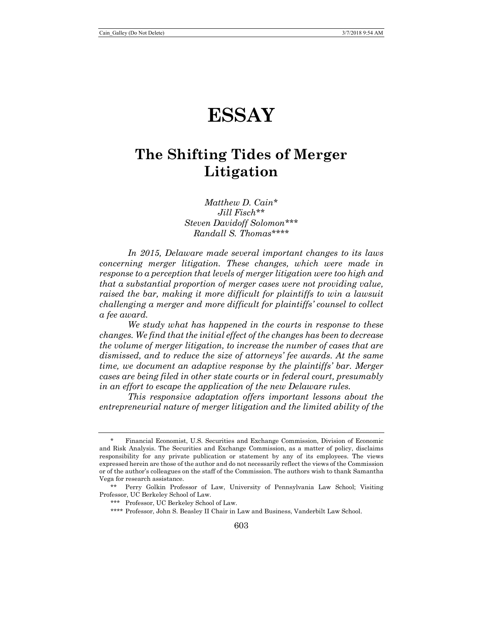# **ESSAY**

# **The Shifting Tides of Merger Litigation**

*Matthew D. Cain*[\\*](#page-0-0) *Jill Fisch*[\\*\\*](#page-0-1) *Steven Davidoff Solomon*[\\*\\*\\*](#page-0-2) *Randall S. Thomas*[\\*\\*\\*\\*](#page-0-3)

*In 2015, Delaware made several important changes to its laws concerning merger litigation. These changes, which were made in response to a perception that levels of merger litigation were too high and that a substantial proportion of merger cases were not providing value, raised the bar, making it more difficult for plaintiffs to win a lawsuit challenging a merger and more difficult for plaintiffs' counsel to collect a fee award.*

*We study what has happened in the courts in response to these changes. We find that the initial effect of the changes has been to decrease the volume of merger litigation, to increase the number of cases that are dismissed, and to reduce the size of attorneys' fee awards. At the same time, we document an adaptive response by the plaintiffs' bar. Merger cases are being filed in other state courts or in federal court, presumably in an effort to escape the application of the new Delaware rules.*

*This responsive adaptation offers important lessons about the entrepreneurial nature of merger litigation and the limited ability of the* 

<span id="page-0-0"></span><sup>\*</sup> Financial Economist, U.S. Securities and Exchange Commission, Division of Economic and Risk Analysis. The Securities and Exchange Commission, as a matter of policy, disclaims responsibility for any private publication or statement by any of its employees. The views expressed herein are those of the author and do not necessarily reflect the views of the Commission or of the author's colleagues on the staff of the Commission. The authors wish to thank Samantha Vega for research assistance.

<span id="page-0-3"></span><span id="page-0-2"></span><span id="page-0-1"></span><sup>\*\*</sup> Perry Golkin Professor of Law, University of Pennsylvania Law School; Visiting Professor, UC Berkeley School of Law.

<sup>\*\*\*</sup> Professor, UC Berkeley School of Law.

<sup>\*\*\*\*</sup> Professor, John S. Beasley II Chair in Law and Business, Vanderbilt Law School.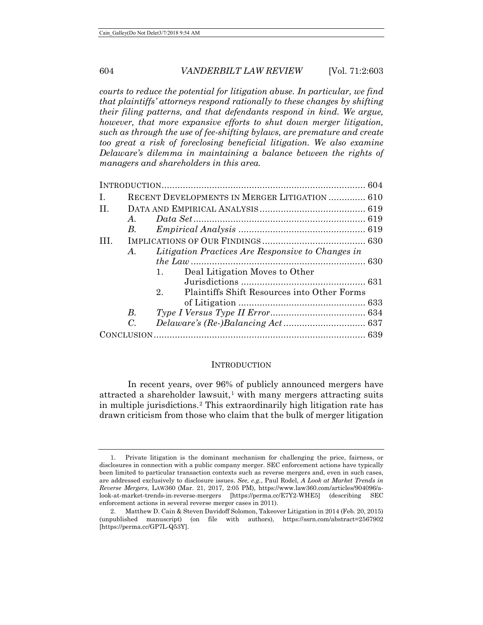*courts to reduce the potential for litigation abuse. In particular, we find that plaintiffs' attorneys respond rationally to these changes by shifting their filing patterns, and that defendants respond in kind. We argue, however, that more expansive efforts to shut down merger litigation, such as through the use of fee-shifting bylaws, are premature and create too great a risk of foreclosing beneficial litigation. We also examine Delaware's dilemma in maintaining a balance between the rights of managers and shareholders in this area.*

| $\mathbf{L}$ |             | RECENT DEVELOPMENTS IN MERGER LITIGATION  610     |  |  |  |  |  |
|--------------|-------------|---------------------------------------------------|--|--|--|--|--|
| H.           |             |                                                   |  |  |  |  |  |
|              | A.          |                                                   |  |  |  |  |  |
|              | B.          |                                                   |  |  |  |  |  |
| III.         |             |                                                   |  |  |  |  |  |
|              | A.          | Litigation Practices Are Responsive to Changes in |  |  |  |  |  |
|              |             |                                                   |  |  |  |  |  |
|              |             | Deal Litigation Moves to Other<br>1.              |  |  |  |  |  |
|              |             |                                                   |  |  |  |  |  |
|              |             | Plaintiffs Shift Resources into Other Forms<br>2. |  |  |  |  |  |
|              |             |                                                   |  |  |  |  |  |
|              | $B_{\cdot}$ |                                                   |  |  |  |  |  |
|              | $C_{\cdot}$ |                                                   |  |  |  |  |  |
|              |             |                                                   |  |  |  |  |  |

#### **INTRODUCTION**

In recent years, over 96% of publicly announced mergers have attracted a shareholder lawsuit,<sup>[1](#page-1-0)</sup> with many mergers attracting suits in multiple jurisdictions.[2](#page-1-1) This extraordinarily high litigation rate has drawn criticism from those who claim that the bulk of merger litigation

<span id="page-1-0"></span><sup>1.</sup> Private litigation is the dominant mechanism for challenging the price, fairness, or disclosures in connection with a public company merger. SEC enforcement actions have typically been limited to particular transaction contexts such as reverse mergers and, even in such cases, are addressed exclusively to disclosure issues. *See, e.g.*, Paul Rodel, *A Look at Market Trends in Reverse Mergers*, LAW360 (Mar. 21, 2017, 2:05 PM), https://www.law360.com/articles/904096/alook-at-market-trends-in-reverse-mergers [https://perma.cc/E7Y2-WHE5] (describing SEC enforcement actions in several reverse merger cases in 2011).

<span id="page-1-1"></span><sup>2.</sup> Matthew D. Cain & Steven Davidoff Solomon, Takeover Litigation in 2014 (Feb. 20, 2015) (unpublished manuscript) (on file with authors), https://ssrn.com/abstract=2567902 [https://perma.cc/GP7L-Q53Y].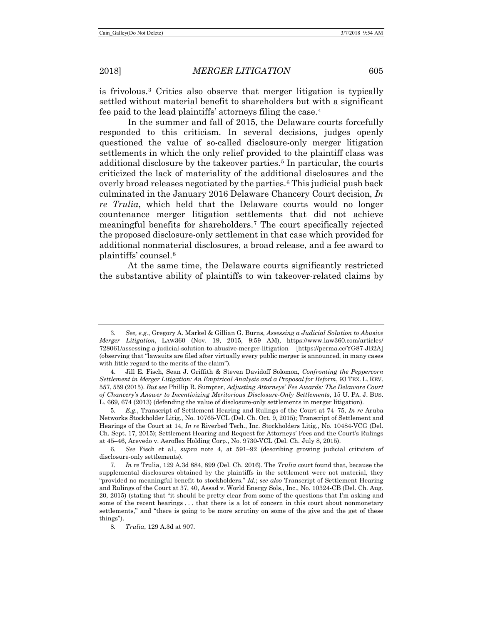<span id="page-2-0"></span>is frivolous.[3](#page-2-1) Critics also observe that merger litigation is typically settled without material benefit to shareholders but with a significant fee paid to the lead plaintiffs' attorneys filing the case.[4](#page-2-2)

In the summer and fall of 2015, the Delaware courts forcefully responded to this criticism. In several decisions, judges openly questioned the value of so-called disclosure-only merger litigation settlements in which the only relief provided to the plaintiff class was additional disclosure by the takeover parties.[5](#page-2-3) In particular, the courts criticized the lack of materiality of the additional disclosures and the overly broad releases negotiated by the parties.[6](#page-2-4) This judicial push back culminated in the January 2016 Delaware Chancery Court decision, *In re Trulia*, which held that the Delaware courts would no longer countenance merger litigation settlements that did not achieve meaningful benefits for shareholders.[7](#page-2-5) The court specifically rejected the proposed disclosure-only settlement in that case which provided for additional nonmaterial disclosures, a broad release, and a fee award to plaintiffs' counsel.[8](#page-2-6)

At the same time, the Delaware courts significantly restricted the substantive ability of plaintiffs to win takeover-related claims by

<span id="page-2-1"></span><sup>3</sup>*. See, e.g.*, Gregory A. Markel & Gillian G. Burns, *Assessing a Judicial Solution to Abusive Merger Litigation*, LAW360 (Nov. 19, 2015, 9:59 AM), https://www.law360.com/articles/ 728061/assessing-a-judicial-solution-to-abusive-merger-litigation [https://perma.cc/YG87-JB2A] (observing that "lawsuits are filed after virtually every public merger is announced, in many cases with little regard to the merits of the claim").

<span id="page-2-2"></span><sup>4.</sup> Jill E. Fisch, Sean J. Griffith & Steven Davidoff Solomon, *Confronting the Peppercorn Settlement in Merger Litigation: An Empirical Analysis and a Proposal for Reform*, 93 TEX. L. REV. 557, 559 (2015). *But see* Phillip R. Sumpter, *Adjusting Attorneys' Fee Awards: The Delaware Court of Chancery's Answer to Incentivizing Meritorious Disclosure-Only Settlements*, 15 U. PA. J. BUS. L. 669, 674 (2013) (defending the value of disclosure-only settlements in merger litigation).

<span id="page-2-3"></span><sup>5</sup>*. E.g.*, Transcript of Settlement Hearing and Rulings of the Court at 74–75, *In re* Aruba Networks Stockholder Litig., No. 10765-VCL (Del. Ch. Oct. 9, 2015); Transcript of Settlement and Hearings of the Court at 14, *In re* Riverbed Tech., Inc. Stockholders Litig., No. 10484-VCG (Del. Ch. Sept. 17, 2015); Settlement Hearing and Request for Attorneys' Fees and the Court's Rulings at 45–46, Acevedo v. Aeroflex Holding Corp., No. 9730-VCL (Del. Ch. July 8, 2015).

<span id="page-2-4"></span><sup>6</sup>*. See* Fisch et al., *supra* note [4,](#page-2-0) at 591–92 (describing growing judicial criticism of disclosure-only settlements).

<span id="page-2-5"></span><sup>7</sup>*. In re* Trulia, 129 A.3d 884, 899 (Del. Ch. 2016). The *Trulia* court found that, because the supplemental disclosures obtained by the plaintiffs in the settlement were not material, they "provided no meaningful benefit to stockholders." *Id.*; *see also* Transcript of Settlement Hearing and Rulings of the Court at 37, 40, Assad v. World Energy Sols., Inc., No. 10324-CB (Del. Ch. Aug. 20, 2015) (stating that "it should be pretty clear from some of the questions that I'm asking and some of the recent hearings ... that there is a lot of concern in this court about nonmonetary settlements," and "there is going to be more scrutiny on some of the give and the get of these things").

<span id="page-2-6"></span><sup>8</sup>*. Trulia*, 129 A.3d at 907.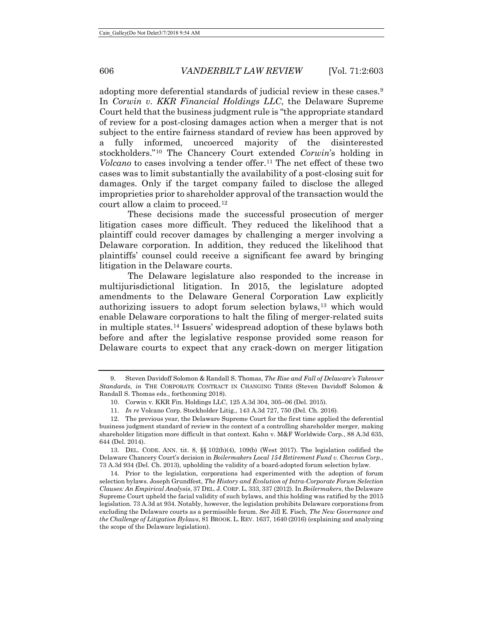<span id="page-3-6"></span>adopting more deferential standards of judicial review in these cases.<sup>[9](#page-3-0)</sup> In *Corwin v. KKR Financial Holdings LLC*, the Delaware Supreme Court held that the business judgment rule is "the appropriate standard of review for a post-closing damages action when a merger that is not subject to the entire fairness standard of review has been approved by a fully informed, uncoerced majority of the disinterested stockholders."[10](#page-3-1) The Chancery Court extended *Corwin*'s holding in *Volcano* to cases involving a tender offer.<sup>[11](#page-3-2)</sup> The net effect of these two cases was to limit substantially the availability of a post-closing suit for damages. Only if the target company failed to disclose the alleged improprieties prior to shareholder approval of the transaction would the court allow a claim to proceed.[12](#page-3-3)

These decisions made the successful prosecution of merger litigation cases more difficult. They reduced the likelihood that a plaintiff could recover damages by challenging a merger involving a Delaware corporation. In addition, they reduced the likelihood that plaintiffs' counsel could receive a significant fee award by bringing litigation in the Delaware courts.

The Delaware legislature also responded to the increase in multijurisdictional litigation. In 2015, the legislature adopted amendments to the Delaware General Corporation Law explicitly authorizing issuers to adopt forum selection bylaws,[13](#page-3-4) which would enable Delaware corporations to halt the filing of merger-related suits in multiple states.[14](#page-3-5) Issuers' widespread adoption of these bylaws both before and after the legislative response provided some reason for Delaware courts to expect that any crack-down on merger litigation

<span id="page-3-0"></span><sup>9.</sup> Steven Davidoff Solomon & Randall S. Thomas, *The Rise and Fall of Delaware's Takeover Standards*, *in* THE CORPORATE CONTRACT IN CHANGING TIMES (Steven Davidoff Solomon & Randall S. Thomas eds., forthcoming 2018).

<sup>10.</sup> Corwin v. KKR Fin. Holdings LLC, 125 A.3d 304, 305–06 (Del. 2015).

<sup>11</sup>*. In re* Volcano Corp. Stockholder Litig., 143 A.3d 727, 750 (Del. Ch. 2016).

<span id="page-3-3"></span><span id="page-3-2"></span><span id="page-3-1"></span><sup>12.</sup> The previous year, the Delaware Supreme Court for the first time applied the deferential business judgment standard of review in the context of a controlling shareholder merger, making shareholder litigation more difficult in that context. Kahn v. M&F Worldwide Corp., 88 A.3d 635, 644 (Del. 2014).

<span id="page-3-4"></span><sup>13.</sup> DEL. CODE. ANN. tit. 8, §§ 102(b)(4), 109(b) (West 2017). The legislation codified the Delaware Chancery Court's decision in *Boilermakers Local 154 Retirement Fund v. Chevron Corp.*, 73 A.3d 934 (Del. Ch. 2013), upholding the validity of a board-adopted forum selection bylaw.

<span id="page-3-5"></span><sup>14.</sup> Prior to the legislation, corporations had experimented with the adoption of forum selection bylaws. Joseph Grundfest, *The History and Evolution of Intra-Corporate Forum Selection Clauses: An Empirical Analysis*, 37 DEL. J. CORP. L. 333, 337 (2012). In *Boilermakers*, the Delaware Supreme Court upheld the facial validity of such bylaws, and this holding was ratified by the 2015 legislation. 73 A.3d at 934. Notably, however, the legislation prohibits Delaware corporations from excluding the Delaware courts as a permissible forum. *See* Jill E. Fisch, *The New Governance and the Challenge of Litigation Bylaws*, 81 BROOK. L. REV. 1637, 1640 (2016) (explaining and analyzing the scope of the Delaware legislation).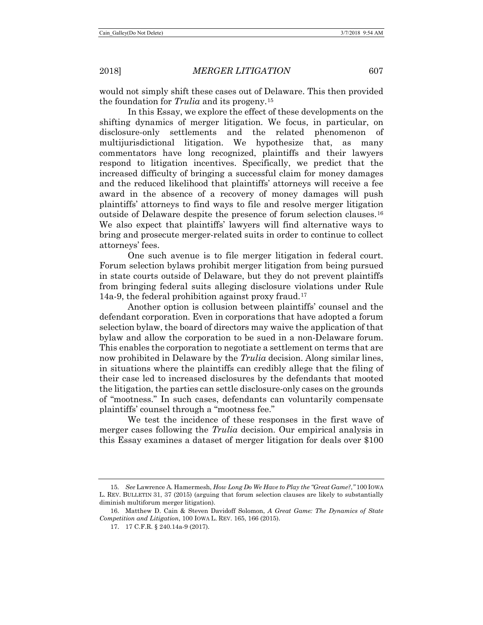would not simply shift these cases out of Delaware. This then provided the foundation for *Trulia* and its progeny.[15](#page-4-0)

In this Essay, we explore the effect of these developments on the shifting dynamics of merger litigation. We focus, in particular, on disclosure-only settlements and the related phenomenon of multijurisdictional litigation. We hypothesize that, as many commentators have long recognized, plaintiffs and their lawyers respond to litigation incentives. Specifically, we predict that the increased difficulty of bringing a successful claim for money damages and the reduced likelihood that plaintiffs' attorneys will receive a fee award in the absence of a recovery of money damages will push plaintiffs' attorneys to find ways to file and resolve merger litigation outside of Delaware despite the presence of forum selection clauses.[16](#page-4-1) We also expect that plaintiffs' lawyers will find alternative ways to bring and prosecute merger-related suits in order to continue to collect attorneys' fees.

<span id="page-4-3"></span>One such avenue is to file merger litigation in federal court. Forum selection bylaws prohibit merger litigation from being pursued in state courts outside of Delaware, but they do not prevent plaintiffs from bringing federal suits alleging disclosure violations under Rule 14a-9, the federal prohibition against proxy fraud.[17](#page-4-2)

Another option is collusion between plaintiffs' counsel and the defendant corporation. Even in corporations that have adopted a forum selection bylaw, the board of directors may waive the application of that bylaw and allow the corporation to be sued in a non-Delaware forum. This enables the corporation to negotiate a settlement on terms that are now prohibited in Delaware by the *Trulia* decision. Along similar lines, in situations where the plaintiffs can credibly allege that the filing of their case led to increased disclosures by the defendants that mooted the litigation, the parties can settle disclosure-only cases on the grounds of "mootness." In such cases, defendants can voluntarily compensate plaintiffs' counsel through a "mootness fee."

We test the incidence of these responses in the first wave of merger cases following the *Trulia* decision. Our empirical analysis in this Essay examines a dataset of merger litigation for deals over \$100

<span id="page-4-0"></span><sup>15</sup>*. See* Lawrence A. Hamermesh, *How Long Do We Have to Play the "Great Game?*,*"* 100 IOWA L. REV. BULLETIN 31, 37 (2015) (arguing that forum selection clauses are likely to substantially diminish multiforum merger litigation).

<span id="page-4-2"></span><span id="page-4-1"></span><sup>16.</sup> Matthew D. Cain & Steven Davidoff Solomon, *A Great Game: The Dynamics of State Competition and Litigation*, 100 IOWA L. REV. 165, 166 (2015).

<sup>17.</sup> 17 C.F.R. § 240.14a-9 (2017).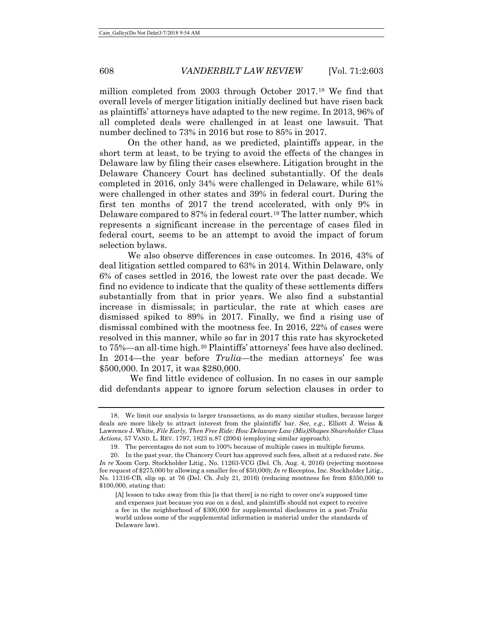million completed from 2003 through October 2017.[18](#page-5-0) We find that overall levels of merger litigation initially declined but have risen back as plaintiffs' attorneys have adapted to the new regime. In 2013, 96% of all completed deals were challenged in at least one lawsuit. That number declined to 73% in 2016 but rose to 85% in 2017.

On the other hand, as we predicted, plaintiffs appear, in the short term at least, to be trying to avoid the effects of the changes in Delaware law by filing their cases elsewhere. Litigation brought in the Delaware Chancery Court has declined substantially. Of the deals completed in 2016, only 34% were challenged in Delaware, while 61% were challenged in other states and 39% in federal court. During the first ten months of 2017 the trend accelerated, with only 9% in Delaware compared to 87% in federal court.<sup>19</sup> The latter number, which represents a significant increase in the percentage of cases filed in federal court, seems to be an attempt to avoid the impact of forum selection bylaws.

We also observe differences in case outcomes. In 2016, 43% of deal litigation settled compared to 63% in 2014. Within Delaware, only 6% of cases settled in 2016, the lowest rate over the past decade. We find no evidence to indicate that the quality of these settlements differs substantially from that in prior years. We also find a substantial increase in dismissals; in particular, the rate at which cases are dismissed spiked to 89% in 2017. Finally, we find a rising use of dismissal combined with the mootness fee. In 2016, 22% of cases were resolved in this manner, while so far in 2017 this rate has skyrocketed to 75%—an all-time high.[20](#page-5-2) Plaintiffs' attorneys' fees have also declined. In 2014—the year before *Trulia*—the median attorneys' fee was \$500,000. In 2017, it was \$280,000.

We find little evidence of collusion. In no cases in our sample did defendants appear to ignore forum selection clauses in order to

<span id="page-5-0"></span><sup>18.</sup> We limit our analysis to larger transactions, as do many similar studies, because larger deals are more likely to attract interest from the plaintiffs' bar. *See, e.g.*, Elliott J. Weiss & Lawrence J. White, *File Early, Then Free Ride: How Delaware Law (Mis)Shapes Shareholder Class Actions*, 57 VAND. L. REV. 1797, 1823 n.87 (2004) (employing similar approach).

<sup>19.</sup> The percentages do not sum to 100% because of multiple cases in multiple forums.

<span id="page-5-2"></span><span id="page-5-1"></span><sup>20.</sup> In the past year, the Chancery Court has approved such fees, albeit at a reduced rate. *See In re* Xoom Corp. Stockholder Litig., No. 11263-VCG (Del. Ch. Aug. 4, 2016) (rejecting mootness fee request of \$275,000 by allowing a smaller fee of \$50,000); *In re* Receptos, Inc. Stockholder Litig., No. 11316-CB, slip op. at 76 (Del. Ch. July 21, 2016) (reducing mootness fee from \$350,000 to \$100,000, stating that:

<sup>[</sup>A] lesson to take away from this [is that there] is no right to cover one's supposed time and expenses just because you sue on a deal, and plaintiffs should not expect to receive a fee in the neighborhood of \$300,000 for supplemental disclosures in a post-*Trulia* world unless some of the supplemental information is material under the standards of Delaware law).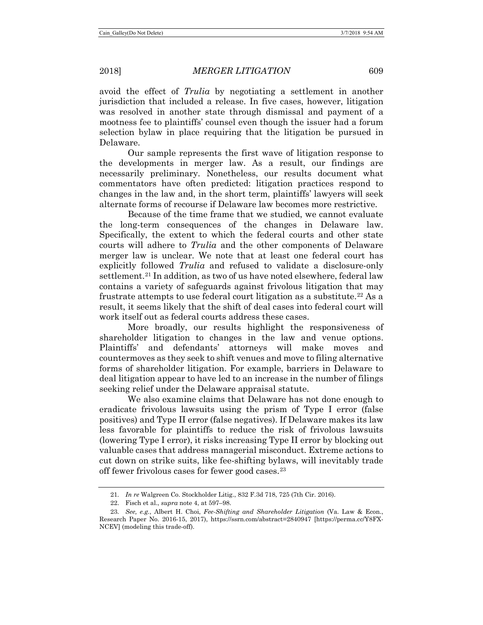avoid the effect of *Trulia* by negotiating a settlement in another jurisdiction that included a release. In five cases, however, litigation was resolved in another state through dismissal and payment of a mootness fee to plaintiffs' counsel even though the issuer had a forum selection bylaw in place requiring that the litigation be pursued in Delaware.

Our sample represents the first wave of litigation response to the developments in merger law. As a result, our findings are necessarily preliminary. Nonetheless, our results document what commentators have often predicted: litigation practices respond to changes in the law and, in the short term, plaintiffs' lawyers will seek alternate forms of recourse if Delaware law becomes more restrictive.

Because of the time frame that we studied, we cannot evaluate the long-term consequences of the changes in Delaware law. Specifically, the extent to which the federal courts and other state courts will adhere to *Trulia* and the other components of Delaware merger law is unclear. We note that at least one federal court has explicitly followed *Trulia* and refused to validate a disclosure-only settlement.<sup>[21](#page-6-0)</sup> In addition, as two of us have noted elsewhere, federal law contains a variety of safeguards against frivolous litigation that may frustrate attempts to use federal court litigation as a substitute.<sup>[22](#page-6-1)</sup> As a result, it seems likely that the shift of deal cases into federal court will work itself out as federal courts address these cases.

More broadly, our results highlight the responsiveness of shareholder litigation to changes in the law and venue options. Plaintiffs' and defendants' attorneys will make moves and countermoves as they seek to shift venues and move to filing alternative forms of shareholder litigation. For example, barriers in Delaware to deal litigation appear to have led to an increase in the number of filings seeking relief under the Delaware appraisal statute.

We also examine claims that Delaware has not done enough to eradicate frivolous lawsuits using the prism of Type I error (false positives) and Type II error (false negatives). If Delaware makes its law less favorable for plaintiffs to reduce the risk of frivolous lawsuits (lowering Type I error), it risks increasing Type II error by blocking out valuable cases that address managerial misconduct. Extreme actions to cut down on strike suits, like fee-shifting bylaws, will inevitably trade off fewer frivolous cases for fewer good cases.[23](#page-6-2)

<sup>21</sup>*. In re* Walgreen Co. Stockholder Litig., 832 F.3d 718, 725 (7th Cir. 2016).

<sup>22.</sup> Fisch et al., *supra* note [4,](#page-2-0) at 597–98.

<span id="page-6-2"></span><span id="page-6-1"></span><span id="page-6-0"></span><sup>23</sup>*. See, e.g.*, Albert H. Choi, *Fee-Shifting and Shareholder Litigation* (Va. Law & Econ., Research Paper No. 2016-15, 2017), https://ssrn.com/abstract=2840947 [https://perma.cc/Y8FX-NCEV] (modeling this trade-off).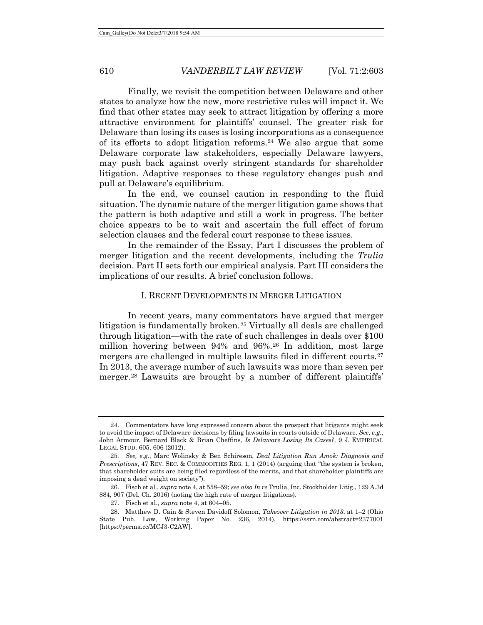<span id="page-7-5"></span>Finally, we revisit the competition between Delaware and other states to analyze how the new, more restrictive rules will impact it. We find that other states may seek to attract litigation by offering a more attractive environment for plaintiffs' counsel. The greater risk for Delaware than losing its cases is losing incorporations as a consequence of its efforts to adopt litigation reforms[.24](#page-7-0) We also argue that some Delaware corporate law stakeholders, especially Delaware lawyers, may push back against overly stringent standards for shareholder litigation. Adaptive responses to these regulatory changes push and pull at Delaware's equilibrium.

In the end, we counsel caution in responding to the fluid situation. The dynamic nature of the merger litigation game shows that the pattern is both adaptive and still a work in progress. The better choice appears to be to wait and ascertain the full effect of forum selection clauses and the federal court response to these issues.

In the remainder of the Essay, Part I discusses the problem of merger litigation and the recent developments, including the *Trulia* decision. Part II sets forth our empirical analysis. Part III considers the implications of our results. A brief conclusion follows.

#### I. RECENT DEVELOPMENTS IN MERGER LITIGATION

In recent years, many commentators have argued that merger litigation is fundamentally broken.[25](#page-7-1) Virtually all deals are challenged through litigation—with the rate of such challenges in deals over \$100 million hovering between 94% and 96%.[26](#page-7-2) In addition, most large mergers are challenged in multiple lawsuits filed in different courts.[27](#page-7-3) In 2013, the average number of such lawsuits was more than seven per merger.[28](#page-7-4) Lawsuits are brought by a number of different plaintiffs'

<span id="page-7-0"></span><sup>24.</sup> Commentators have long expressed concern about the prospect that litigants might seek to avoid the impact of Delaware decisions by filing lawsuits in courts outside of Delaware. *See, e.g*., John Armour, Bernard Black & Brian Cheffins, *Is Delaware Losing Its Cases?*, 9 J. EMPIRICAL LEGAL STUD. 605, 606 (2012).

<span id="page-7-1"></span><sup>25</sup>*. See, e.g.*, Marc Wolinsky & Ben Schireson, *Deal Litigation Run Amok: Diagnosis and Prescriptions*, 47 REV. SEC. & COMMODITIES REG. 1, 1 (2014) (arguing that "the system is broken, that shareholder suits are being filed regardless of the merits, and that shareholder plaintiffs are imposing a dead weight on society").

<span id="page-7-2"></span><sup>26.</sup> Fisch et al., *supra* not[e 4,](#page-2-0) at 558–59; *see also In re* Trulia, Inc. Stockholder Litig., 129 A.3d 884, 907 (Del. Ch. 2016) (noting the high rate of merger litigations).

<sup>27.</sup> Fisch et al., *supra* note [4,](#page-2-0) at 604–05.

<span id="page-7-4"></span><span id="page-7-3"></span><sup>28.</sup> Matthew D. Cain & Steven Davidoff Solomon, *Takeover Litigation in 2013*, at 1–2 (Ohio State Pub. Law, Working Paper No. 236, 2014), https://ssrn.com/abstract=2377001 [https://perma.cc/MCJ3-C2AW].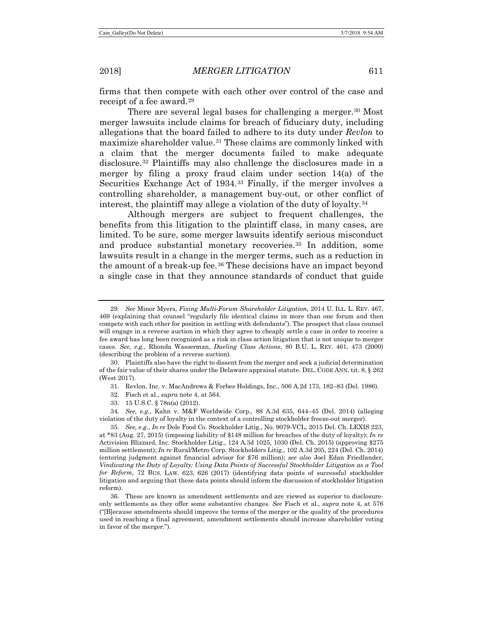<span id="page-8-9"></span>firms that then compete with each other over control of the case and receipt of a fee award.<sup>[29](#page-8-0)</sup>

There are several legal bases for challenging a merger.<sup>[30](#page-8-1)</sup> Most merger lawsuits include claims for breach of fiduciary duty, including allegations that the board failed to adhere to its duty under *Revlon* to maximize shareholder value[.31](#page-8-2) These claims are commonly linked with a claim that the merger documents failed to make adequate disclosure[.32](#page-8-3) Plaintiffs may also challenge the disclosures made in a merger by filing a proxy fraud claim under section 14(a) of the Securities Exchange Act of 1934.[33](#page-8-4) Finally, if the merger involves a controlling shareholder, a management buy-out, or other conflict of interest, the plaintiff may allege a violation of the duty of loyalty.[34](#page-8-5)

<span id="page-8-8"></span>Although mergers are subject to frequent challenges, the benefits from this litigation to the plaintiff class, in many cases, are limited. To be sure, some merger lawsuits identify serious misconduct and produce substantial monetary recoveries.[35](#page-8-6) In addition, some lawsuits result in a change in the merger terms, such as a reduction in the amount of a break-up fee.[36](#page-8-7) These decisions have an impact beyond a single case in that they announce standards of conduct that guide

<span id="page-8-2"></span><span id="page-8-1"></span>30. Plaintiffs also have the right to dissent from the merger and seek a judicial determination of the fair value of their shares under the Delaware appraisal statute. DEL. CODE ANN. tit. 8, § 262 (West 2017).

- 31. Revlon, Inc. v. MacAndrews & Forbes Holdings, Inc., 506 A.2d 173, 182–83 (Del. 1986).
- 32. Fisch et al., *supra* note [4,](#page-2-0) at 564.
- 33. 15 U.S.C. § 78n(a) (2012).

<span id="page-8-5"></span><span id="page-8-4"></span><span id="page-8-3"></span>34*. See, e.g.*, Kahn v. M&F Worldwide Corp., 88 A.3d 635, 644–45 (Del. 2014) (alleging violation of the duty of loyalty in the context of a controlling stockholder freeze-out merger).

<span id="page-8-6"></span>35*. See, e.g.*, *In re* Dole Food Co. Stockholder Litig., No. 9079-VCL, 2015 Del. Ch. LEXIS 223, at \*83 (Aug. 27, 2015) (imposing liability of \$148 million for breaches of the duty of loyalty); *In re* Activision Blizzard, Inc. Stockholder Litig., 124 A.3d 1025, 1030 (Del. Ch. 2015) (approving \$275 million settlement); *In re* Rural/Metro Corp. Stockholders Litig., 102 A.3d 205, 224 (Del. Ch. 2014) (entering judgment against financial advisor for \$76 million); *see also* Joel Edan Friedlander, *Vindicating the Duty of Loyalty: Using Data Points of Successful Stockholder Litigation as a Tool for Reform*, 72 BUS. LAW. 623, 626 (2017) (identifying data points of successful stockholder litigation and arguing that these data points should inform the discussion of stockholder litigation reform).

<span id="page-8-7"></span>36. These are known as amendment settlements and are viewed as superior to disclosureonly settlements as they offer some substantive changes. *See* Fisch et al., *supra* note [4,](#page-2-0) at 576 ("[B]ecause amendments should improve the terms of the merger or the quality of the procedures used in reaching a final agreement, amendment settlements should increase shareholder voting in favor of the merger.").

<span id="page-8-0"></span><sup>29</sup>*. See* Minor Myers, *Fixing Multi-Forum Shareholder Litigation*, 2014 U. ILL. L. REV. 467, 469 (explaining that counsel "regularly file identical claims in more than one forum and then compete with each other for position in settling with defendants"). The prospect that class counsel will engage in a reverse auction in which they agree to cheaply settle a case in order to receive a fee award has long been recognized as a risk in class action litigation that is not unique to merger cases. *See, e.g.*, Rhonda Wasserman, *Dueling Class Actions*, 80 B.U. L. REV. 461, 473 (2000) (describing the problem of a reverse auction).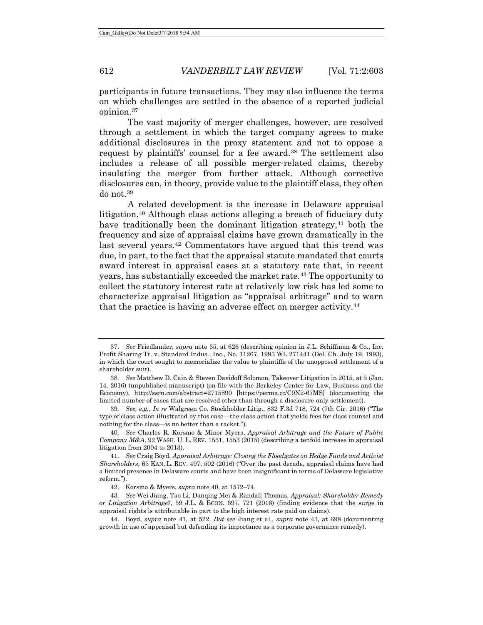participants in future transactions. They may also influence the terms on which challenges are settled in the absence of a reported judicial opinion.[37](#page-9-3)

The vast majority of merger challenges, however, are resolved through a settlement in which the target company agrees to make additional disclosures in the proxy statement and not to oppose a request by plaintiffs' counsel for a fee award.<sup>[38](#page-9-4)</sup> The settlement also includes a release of all possible merger-related claims, thereby insulating the merger from further attack. Although corrective disclosures can, in theory, provide value to the plaintiff class, they often do not.[39](#page-9-5)

<span id="page-9-2"></span><span id="page-9-1"></span><span id="page-9-0"></span>A related development is the increase in Delaware appraisal litigation.[40](#page-9-6) Although class actions alleging a breach of fiduciary duty have traditionally been the dominant litigation strategy, $41$  both the frequency and size of appraisal claims have grown dramatically in the last several years.[42](#page-9-8) Commentators have argued that this trend was due, in part, to the fact that the appraisal statute mandated that courts award interest in appraisal cases at a statutory rate that, in recent years, has substantially exceeded the market rate.[43](#page-9-9) The opportunity to collect the statutory interest rate at relatively low risk has led some to characterize appraisal litigation as "appraisal arbitrage" and to warn that the practice is having an adverse effect on merger activity.<sup>[44](#page-9-10)</sup>

<span id="page-9-3"></span><sup>37.</sup> *See* Friedlander, *supra* note [35,](#page-8-8) at 626 (describing opinion in J.L. Schiffman & Co., Inc. Profit Sharing Tr. v. Standard Indus., Inc., No. 11267, 1993 WL 271441 (Del. Ch. July 19, 1993), in which the court sought to memorialize the value to plaintiffs of the unopposed settlement of a shareholder suit).

<span id="page-9-4"></span><sup>38</sup>*. See* Matthew D. Cain & Steven Davidoff Solomon, Takeover Litigation in 2015, at 5 (Jan. 14, 2016) (unpublished manuscript) (on file with the Berkeley Center for Law, Business and the Economy), http://ssrn.com/abstract=2715890 [https://perma.cc/C9N2-67MS] (documenting the limited number of cases that are resolved other than through a disclosure-only settlement).

<span id="page-9-5"></span><sup>39</sup>*. See, e.g.*, *In re* Walgreen Co. Stockholder Litig., 832 F.3d 718, 724 (7th Cir. 2016) ("The type of class action illustrated by this case—the class action that yields fees for class counsel and nothing for the class—is no better than a racket.").

<span id="page-9-6"></span><sup>40</sup>*. See* Charles R. Korsmo & Minor Myers, *Appraisal Arbitrage and the Future of Public Company M&A*, 92 WASH. U. L. REV. 1551, 1553 (2015) (describing a tenfold increase in appraisal litigation from 2004 to 2013).

<span id="page-9-7"></span><sup>41</sup>*. See* Craig Boyd, *Appraisal Arbitrage: Closing the Floodgates on Hedge Funds and Activist Shareholders*, 65 KAN. L. REV. 497, 502 (2016) ("Over the past decade, appraisal claims have had a limited presence in Delaware courts and have been insignificant in terms of Delaware legislative reform.").

<sup>42.</sup> Korsmo & Myers, *supra* not[e 40,](#page-9-0) at 1572–74.

<span id="page-9-9"></span><span id="page-9-8"></span><sup>43</sup>*. See* Wei Jiang, Tao Li, Danqing Mei & Randall Thomas, *Appraisal: Shareholder Remedy or Litigation Arbitrage?*, 59 J.L. & ECON. 697, 721 (2016) (finding evidence that the surge in appraisal rights is attributable in part to the high interest rate paid on claims).

<span id="page-9-10"></span><sup>44.</sup> Boyd, *supra* note [41,](#page-9-1) at 522. *But see* Jiang et al., *supra* note [43,](#page-9-2) at 698 (documenting growth in use of appraisal but defending its importance as a corporate governance remedy).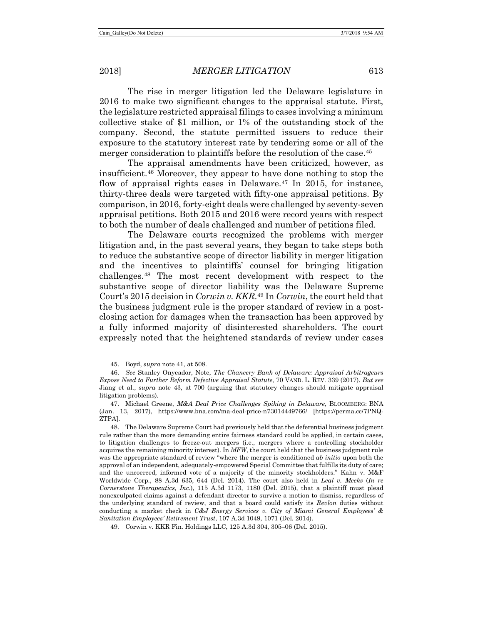The rise in merger litigation led the Delaware legislature in 2016 to make two significant changes to the appraisal statute. First, the legislature restricted appraisal filings to cases involving a minimum collective stake of \$1 million, or 1% of the outstanding stock of the company. Second, the statute permitted issuers to reduce their exposure to the statutory interest rate by tendering some or all of the merger consideration to plaintiffs before the resolution of the case.<sup>[45](#page-10-0)</sup>

The appraisal amendments have been criticized, however, as insufficient.[46](#page-10-1) Moreover, they appear to have done nothing to stop the flow of appraisal rights cases in Delaware.<sup>[47](#page-10-2)</sup> In 2015, for instance, thirty-three deals were targeted with fifty-one appraisal petitions. By comparison, in 2016, forty-eight deals were challenged by seventy-seven appraisal petitions. Both 2015 and 2016 were record years with respect to both the number of deals challenged and number of petitions filed.

The Delaware courts recognized the problems with merger litigation and, in the past several years, they began to take steps both to reduce the substantive scope of director liability in merger litigation and the incentives to plaintiffs' counsel for bringing litigation challenges.[48](#page-10-3) The most recent development with respect to the substantive scope of director liability was the Delaware Supreme Court's 2015 decision in *Corwin v. KKR*.[49](#page-10-4) In *Corwin*, the court held that the business judgment rule is the proper standard of review in a postclosing action for damages when the transaction has been approved by a fully informed majority of disinterested shareholders. The court expressly noted that the heightened standards of review under cases

<sup>45.</sup> Boyd, *supra* not[e 41,](#page-9-1) at 508.

<span id="page-10-1"></span><span id="page-10-0"></span><sup>46.</sup> *See* Stanley Onyeador, Note, *The Chancery Bank of Delaware: Appraisal Arbitrageurs Expose Need to Further Reform Defective Appraisal Statute*, 70 VAND. L. REV. 339 (2017). *But see*  Jiang et al., *supra* note [43,](#page-9-2) at 700 (arguing that statutory changes should mitigate appraisal litigation problems).

<span id="page-10-2"></span><sup>47.</sup> Michael Greene, *M&A Deal Price Challenges Spiking in Delaware*, BLOOMBERG: BNA (Jan. 13, 2017), https://www.bna.com/ma-deal-price-n73014449766/ [https://perma.cc/7PNQ-ZTPA].

<span id="page-10-3"></span><sup>48.</sup> The Delaware Supreme Court had previously held that the deferential business judgment rule rather than the more demanding entire fairness standard could be applied, in certain cases, to litigation challenges to freeze-out mergers (i.e., mergers where a controlling stockholder acquires the remaining minority interest). In *MFW*, the court held that the business judgment rule was the appropriate standard of review "where the merger is conditioned *ab initio* upon both the approval of an independent, adequately-empowered Special Committee that fulfills its duty of care; and the uncoerced, informed vote of a majority of the minority stockholders." Kahn v. M&F Worldwide Corp., 88 A.3d 635, 644 (Del. 2014). The court also held in *Leal v. Meeks* (*In re Cornerstone Therapeutics, Inc.*), 115 A.3d 1173, 1180 (Del. 2015), that a plaintiff must plead nonexculpated claims against a defendant director to survive a motion to dismiss, regardless of the underlying standard of review, and that a board could satisfy its *Revlon* duties without conducting a market check in *C&J Energy Services v. City of Miami General Employees' & Sanitation Employees' Retirement Trust*, 107 A.3d 1049, 1071 (Del. 2014).

<span id="page-10-4"></span><sup>49.</sup> Corwin v. KKR Fin. Holdings LLC, 125 A.3d 304, 305–06 (Del. 2015).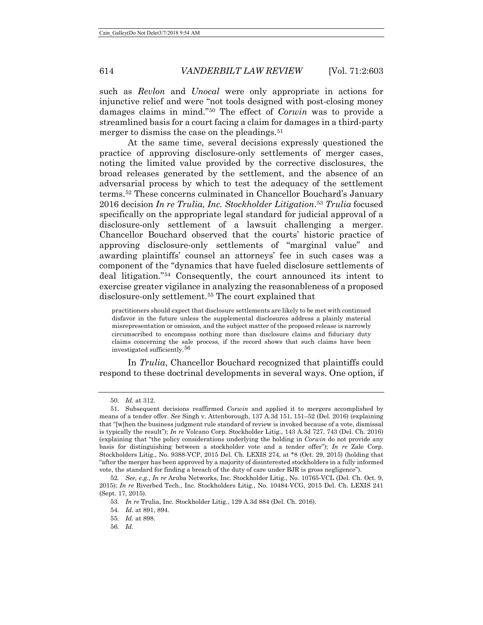such as *Revlon* and *Unocal* were only appropriate in actions for injunctive relief and were "not tools designed with post-closing money damages claims in mind."[50](#page-11-0) The effect of *Corwin* was to provide a streamlined basis for a court facing a claim for damages in a third-party merger to dismiss the case on the pleadings.<sup>[51](#page-11-1)</sup>

At the same time, several decisions expressly questioned the practice of approving disclosure-only settlements of merger cases, noting the limited value provided by the corrective disclosures, the broad releases generated by the settlement, and the absence of an adversarial process by which to test the adequacy of the settlement terms.[52](#page-11-2) These concerns culminated in Chancellor Bouchard's January 2016 decision *In re Trulia, Inc. Stockholder Litigation*.[53](#page-11-3) *Trulia* focused specifically on the appropriate legal standard for judicial approval of a disclosure-only settlement of a lawsuit challenging a merger. Chancellor Bouchard observed that the courts' historic practice of approving disclosure-only settlements of "marginal value" and awarding plaintiffs' counsel an attorneys' fee in such cases was a component of the "dynamics that have fueled disclosure settlements of deal litigation.["54](#page-11-4) Consequently, the court announced its intent to exercise greater vigilance in analyzing the reasonableness of a proposed disclosure-only settlement.<sup>[55](#page-11-5)</sup> The court explained that

practitioners should expect that disclosure settlements are likely to be met with continued disfavor in the future unless the supplemental disclosures address a plainly material misrepresentation or omission, and the subject matter of the proposed release is narrowly circumscribed to encompass nothing more than disclosure claims and fiduciary duty claims concerning the sale process, if the record shows that such claims have been investigated sufficiently.[56](#page-11-6)

In *Trulia*, Chancellor Bouchard recognized that plaintiffs could respond to these doctrinal developments in several ways. One option, if

<sup>50.</sup> *Id.* at 312.

<span id="page-11-1"></span><span id="page-11-0"></span><sup>51.</sup> Subsequent decisions reaffirmed *Corwin* and applied it to mergers accomplished by means of a tender offer. *See* Singh v. Attenborough, 137 A.3d 151, 151–52 (Del. 2016) (explaining that "[w]hen the business judgment rule standard of review is invoked because of a vote, dismissal is typically the result"); *In re* Volcano Corp. Stockholder Litig., 143 A.3d 727, 743 (Del. Ch. 2016) (explaining that "the policy considerations underlying the holding in *Corwin* do not provide any basis for distinguishing between a stockholder vote and a tender offer"); *In re* Zale Corp. Stockholders Litig., No. 9388-VCP, 2015 Del. Ch. LEXIS 274, at \*8 (Oct. 29, 2015) (holding that "after the merger has been approved by a majority of disinterested stockholders in a fully informed vote, the standard for finding a breach of the duty of care under BJR is gross negligence").

<span id="page-11-5"></span><span id="page-11-4"></span><span id="page-11-3"></span><span id="page-11-2"></span><sup>52</sup>*. See, e.g.*, *In re* Aruba Networks, Inc. Stockholder Litig., No. 10765-VCL (Del. Ch. Oct. 9, 2015); *In re* Riverbed Tech., Inc. Stockholders Litig., No. 10484-VCG, 2015 Del. Ch. LEXIS 241 (Sept. 17, 2015).

<sup>53</sup>*. In re* Trulia, Inc. Stockholder Litig*.*, 129 A.3d 884 (Del. Ch. 2016).

<sup>54</sup>*. Id.* at 891, 894.

<span id="page-11-6"></span><sup>55</sup>*. Id.* at 898.

<sup>56</sup>*. Id.*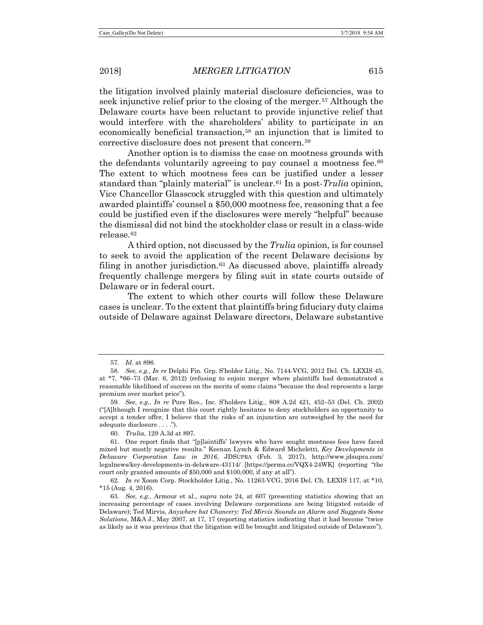the litigation involved plainly material disclosure deficiencies, was to seek injunctive relief prior to the closing of the merger.[57](#page-12-0) Although the Delaware courts have been reluctant to provide injunctive relief that would interfere with the shareholders' ability to participate in an economically beneficial transaction,[58](#page-12-1) an injunction that is limited to corrective disclosure does not present that concern.[59](#page-12-2)

<span id="page-12-7"></span>Another option is to dismiss the case on mootness grounds with the defendants voluntarily agreeing to pay counsel a mootness fee.<sup>[60](#page-12-3)</sup> The extent to which mootness fees can be justified under a lesser standard than "plainly material" is unclear.[61](#page-12-4) In a post-*Trulia* opinion, Vice Chancellor Glasscock struggled with this question and ultimately awarded plaintiffs' counsel a \$50,000 mootness fee, reasoning that a fee could be justified even if the disclosures were merely "helpful" because the dismissal did not bind the stockholder class or result in a class-wide release.[62](#page-12-5)

A third option, not discussed by the *Trulia* opinion, is for counsel to seek to avoid the application of the recent Delaware decisions by filing in another jurisdiction. $63$  As discussed above, plaintiffs already frequently challenge mergers by filing suit in state courts outside of Delaware or in federal court.

The extent to which other courts will follow these Delaware cases is unclear. To the extent that plaintiffs bring fiduciary duty claims outside of Delaware against Delaware directors, Delaware substantive

60*. Trulia*, 129 A.3d at 897.

<sup>57</sup>*. Id.* at 896.

<span id="page-12-1"></span><span id="page-12-0"></span><sup>58</sup>*. See, e.g.*, *In re* Delphi Fin. Grp. S'holder Litig., No. 7144-VCG, 2012 Del. Ch. LEXIS 45, at \*7, \*66–73 (Mar. 6, 2012) (refusing to enjoin merger where plaintiffs had demonstrated a reasonable likelihood of success on the merits of some claims "because the deal represents a large premium over market price").

<span id="page-12-2"></span><sup>59</sup>*. See, e.g.*, *In re* Pure Res., Inc. S'holders Litig., 808 A.2d 421, 452–53 (Del. Ch. 2002) ("[A]lthough I recognize that this court rightly hesitates to deny stockholders an opportunity to accept a tender offer, I believe that the risks of an injunction are outweighed by the need for adequate disclosure . . . .").

<span id="page-12-4"></span><span id="page-12-3"></span><sup>61.</sup> One report finds that "[p]laintiffs' lawyers who have sought mootness fees have faced mixed but mostly negative results." Keenan Lynch & Edward Micheletti, *Key Developments in Delaware Corporation Law in 2016*, JDSUPRA (Feb. 3, 2017), http://www.jdsupra.com/ legalnews/key-developments-in-delaware-43114/ [https://perma.cc/VQX4-24WK] (reporting "the court only granted amounts of \$50,000 and \$100,000, if any at all").

<span id="page-12-5"></span><sup>62</sup>*. In re* Xoom Corp. Stockholder Litig., No. 11263-VCG, 2016 Del. Ch. LEXIS 117, at \*10, \*15 (Aug. 4, 2016).

<span id="page-12-6"></span><sup>63</sup>*. See, e.g.*, Armour et al., *supra* note [24,](#page-7-5) at 607 (presenting statistics showing that an increasing percentage of cases involving Delaware corporations are being litigated outside of Delaware); Ted Mirvis, *Anywhere but Chancery: Ted Mirvis Sounds an Alarm and Suggests Some Solutions*, M&A J., May 2007, at 17, 17 (reporting statistics indicating that it had become "twice as likely as it was previous that the litigation will be brought and litigated outside of Delaware").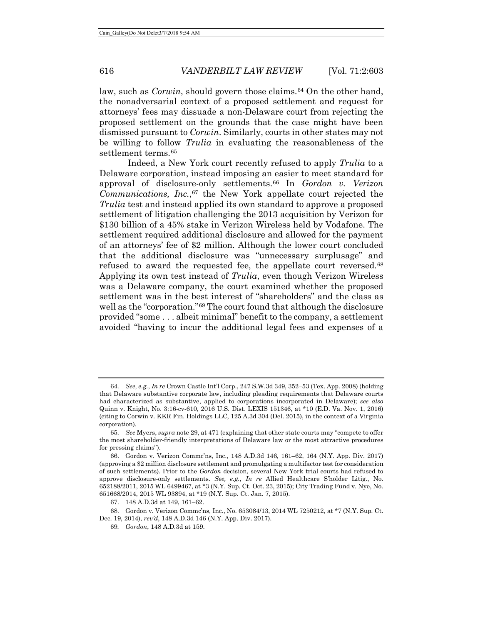law, such as *Corwin*, should govern those claims.[64](#page-13-0) On the other hand, the nonadversarial context of a proposed settlement and request for attorneys' fees may dissuade a non-Delaware court from rejecting the proposed settlement on the grounds that the case might have been dismissed pursuant to *Corwin*. Similarly, courts in other states may not be willing to follow *Trulia* in evaluating the reasonableness of the settlement terms.<sup>[65](#page-13-1)</sup>

<span id="page-13-6"></span>Indeed, a New York court recently refused to apply *Trulia* to a Delaware corporation, instead imposing an easier to meet standard for approval of disclosure-only settlements.[66](#page-13-2) In *Gordon v. Verizon Communications, Inc.*[,67](#page-13-3) the New York appellate court rejected the *Trulia* test and instead applied its own standard to approve a proposed settlement of litigation challenging the 2013 acquisition by Verizon for \$130 billion of a 45% stake in Verizon Wireless held by Vodafone. The settlement required additional disclosure and allowed for the payment of an attorneys' fee of \$2 million. Although the lower court concluded that the additional disclosure was "unnecessary surplusage" and refused to award the requested fee, the appellate court reversed.<sup>[68](#page-13-4)</sup> Applying its own test instead of *Trulia*, even though Verizon Wireless was a Delaware company, the court examined whether the proposed settlement was in the best interest of "shareholders" and the class as well as the "corporation."[69](#page-13-5) The court found that although the disclosure provided "some . . . albeit minimal" benefit to the company, a settlement avoided "having to incur the additional legal fees and expenses of a

<span id="page-13-0"></span><sup>64</sup>*. See, e.g.*, *In re* Crown Castle Int'l Corp., 247 S.W.3d 349, 352–53 (Tex. App. 2008) (holding that Delaware substantive corporate law, including pleading requirements that Delaware courts had characterized as substantive, applied to corporations incorporated in Delaware); *see also* Quinn v. Knight, No. 3:16-cv-610, 2016 U.S. Dist. LEXIS 151346, at \*10 (E.D. Va. Nov. 1, 2016) (citing to Corwin v. KKR Fin. Holdings LLC, 125 A.3d 304 (Del. 2015), in the context of a Virginia corporation).

<span id="page-13-1"></span><sup>65</sup>*. See* Myers, *supra* not[e 29,](#page-8-9) at 471 (explaining that other state courts may "compete to offer the most shareholder-friendly interpretations of Delaware law or the most attractive procedures for pressing claims").

<span id="page-13-2"></span><sup>66.</sup> Gordon v. Verizon Commc'ns, Inc., 148 A.D.3d 146, 161–62, 164 (N.Y. App. Div. 2017) (approving a \$2 million disclosure settlement and promulgating a multifactor test for consideration of such settlements). Prior to the *Gordon* decision, several New York trial courts had refused to approve disclosure-only settlements. *See, e.g.*, *In re* Allied Healthcare S'holder Litig., No. 652188/2011, 2015 WL 6499467, at \*3 (N.Y. Sup. Ct. Oct. 23, 2015); City Trading Fund v. Nye, No. 651668/2014, 2015 WL 93894, at \*19 (N.Y. Sup. Ct. Jan. 7, 2015).

<sup>67.</sup> 148 A.D.3d at 149, 161–62.

<span id="page-13-5"></span><span id="page-13-4"></span><span id="page-13-3"></span><sup>68.</sup> Gordon v. Verizon Commc'ns, Inc., No. 653084/13, 2014 WL 7250212, at \*7 (N.Y. Sup. Ct. Dec. 19, 2014), *rev'd*, 148 A.D.3d 146 (N.Y. App. Div. 2017).

<sup>69</sup>*. Gordon*, 148 A.D.3d at 159.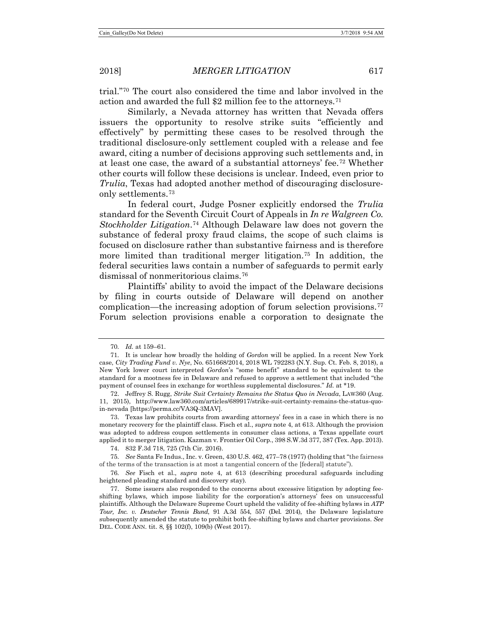trial."[70](#page-14-0) The court also considered the time and labor involved in the action and awarded the full \$2 million fee to the attorneys.[71](#page-14-1)

Similarly, a Nevada attorney has written that Nevada offers issuers the opportunity to resolve strike suits "efficiently and effectively" by permitting these cases to be resolved through the traditional disclosure-only settlement coupled with a release and fee award, citing a number of decisions approving such settlements and, in at least one case, the award of a substantial attorneys' fee.[72](#page-14-2) Whether other courts will follow these decisions is unclear. Indeed, even prior to *Trulia*, Texas had adopted another method of discouraging disclosureonly settlements.[73](#page-14-3)

<span id="page-14-8"></span>In federal court, Judge Posner explicitly endorsed the *Trulia* standard for the Seventh Circuit Court of Appeals in *In re Walgreen Co. Stockholder Litigation*[.74](#page-14-4) Although Delaware law does not govern the substance of federal proxy fraud claims, the scope of such claims is focused on disclosure rather than substantive fairness and is therefore more limited than traditional merger litigation.<sup>[75](#page-14-5)</sup> In addition, the federal securities laws contain a number of safeguards to permit early dismissal of nonmeritorious claims.[76](#page-14-6)

<span id="page-14-9"></span>Plaintiffs' ability to avoid the impact of the Delaware decisions by filing in courts outside of Delaware will depend on another complication—the increasing adoption of forum selection provisions.[77](#page-14-7) Forum selection provisions enable a corporation to designate the

74. 832 F.3d 718, 725 (7th Cir. 2016).

<span id="page-14-5"></span><span id="page-14-4"></span>75*. See* Santa Fe Indus., Inc. v. Green, 430 U.S. 462, 477–78 (1977) (holding that "the fairness of the terms of the transaction is at most a tangential concern of the [federal] statute").

<span id="page-14-6"></span>76*. See* Fisch et al., *supra* note [4,](#page-2-0) at 613 (describing procedural safeguards including heightened pleading standard and discovery stay).

<sup>70</sup>*. Id.* at 159–61.

<span id="page-14-1"></span><span id="page-14-0"></span><sup>71</sup>*.* It is unclear how broadly the holding of *Gordon* will be applied. In a recent New York case, *City Trading Fund v. Nye*, No. 651668/2014, 2018 WL 792283 (N.Y. Sup. Ct. Feb. 8, 2018), a New York lower court interpreted *Gordon*'s "some benefit" standard to be equivalent to the standard for a mootness fee in Delaware and refused to approve a settlement that included "the payment of counsel fees in exchange for worthless supplemental disclosures." *Id.* at \*19.

<span id="page-14-2"></span><sup>72.</sup> Jeffrey S. Rugg, *Strike Suit Certainty Remains the Status Quo in Nevada*, LAW360 (Aug. 11, 2015), http://www.law360.com/articles/689917/strike-suit-certainty-remains-the-status-quoin-nevada [https://perma.cc/VA3Q-3MAV].

<span id="page-14-3"></span><sup>73.</sup> Texas law prohibits courts from awarding attorneys' fees in a case in which there is no monetary recovery for the plaintiff class. Fisch et al., *supra* note [4,](#page-2-0) at 613. Although the provision was adopted to address coupon settlements in consumer class actions, a Texas appellate court applied it to merger litigation. Kazman v. Frontier Oil Corp., 398 S.W.3d 377, 387 (Tex. App. 2013).

<span id="page-14-7"></span><sup>77.</sup> Some issuers also responded to the concerns about excessive litigation by adopting feeshifting bylaws, which impose liability for the corporation's attorneys' fees on unsuccessful plaintiffs. Although the Delaware Supreme Court upheld the validity of fee-shifting bylaws in *ATP Tour, Inc. v. Deutscher Tennis Bund*, 91 A.3d 554, 557 (Del. 2014), the Delaware legislature subsequently amended the statute to prohibit both fee-shifting bylaws and charter provisions. *See* DEL. CODE ANN. tit. 8, §§ 102(f), 109(b) (West 2017).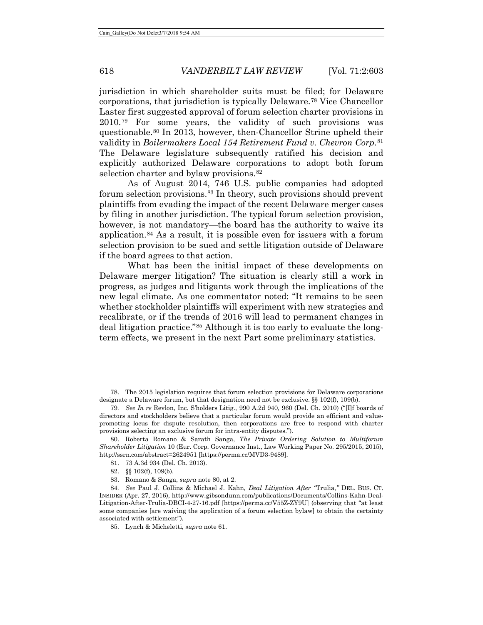<span id="page-15-0"></span>jurisdiction in which shareholder suits must be filed; for Delaware corporations, that jurisdiction is typically Delaware.[78](#page-15-1) Vice Chancellor Laster first suggested approval of forum selection charter provisions in 2010.[79](#page-15-2) For some years, the validity of such provisions was questionable.[80](#page-15-3) In 2013, however, then-Chancellor Strine upheld their validity in *Boilermakers Local 154 Retirement Fund v. Chevron Corp*.[81](#page-15-4) The Delaware legislature subsequently ratified his decision and explicitly authorized Delaware corporations to adopt both forum selection charter and bylaw provisions.<sup>[82](#page-15-5)</sup>

As of August 2014, 746 U.S. public companies had adopted forum selection provisions.[83](#page-15-6) In theory, such provisions should prevent plaintiffs from evading the impact of the recent Delaware merger cases by filing in another jurisdiction. The typical forum selection provision, however, is not mandatory—the board has the authority to waive its application.[84](#page-15-7) As a result, it is possible even for issuers with a forum selection provision to be sued and settle litigation outside of Delaware if the board agrees to that action.

What has been the initial impact of these developments on Delaware merger litigation? The situation is clearly still a work in progress, as judges and litigants work through the implications of the new legal climate. As one commentator noted: "It remains to be seen whether stockholder plaintiffs will experiment with new strategies and recalibrate, or if the trends of 2016 will lead to permanent changes in deal litigation practice."[85](#page-15-8) Although it is too early to evaluate the longterm effects, we present in the next Part some preliminary statistics.

<span id="page-15-1"></span><sup>78.</sup> The 2015 legislation requires that forum selection provisions for Delaware corporations designate a Delaware forum, but that designation need not be exclusive. §§ 102(f), 109(b).

<span id="page-15-2"></span><sup>79</sup>*. See In re* Revlon, Inc. S'holders Litig., 990 A.2d 940, 960 (Del. Ch. 2010) ("[I]f boards of directors and stockholders believe that a particular forum would provide an efficient and valuepromoting locus for dispute resolution, then corporations are free to respond with charter provisions selecting an exclusive forum for intra-entity disputes.").

<span id="page-15-4"></span><span id="page-15-3"></span><sup>80.</sup> Roberta Romano & Sarath Sanga, *The Private Ordering Solution to Multiforum Shareholder Litigation* 10 (Eur. Corp. Governance Inst., Law Working Paper No. 295/2015, 2015), http://ssrn.com/abstract=2624951 [https://perma.cc/MVD3-9489].

<sup>81.</sup> 73 A.3d 934 (Del. Ch. 2013).

<sup>82.</sup> §§ 102(f), 109(b).

<sup>83.</sup> Romano & Sanga, *supra* not[e 80,](#page-15-0) at 2.

<span id="page-15-8"></span><span id="page-15-7"></span><span id="page-15-6"></span><span id="page-15-5"></span><sup>84</sup>*. See* Paul J. Collins & Michael J. Kahn, *Deal Litigation After "*Trulia,*"* DEL. BUS. CT. INSIDER (Apr. 27, 2016), http://www.gibsondunn.com/publications/Documents/Collins-Kahn-Deal-Litigation-After-Trulia-DBCI-4-27-16.pdf [https://perma.cc/V55Z-ZY9U] (observing that "at least some companies [are waiving the application of a forum selection bylaw] to obtain the certainty associated with settlement").

<sup>85.</sup> Lynch & Micheletti, *supra* note [61.](#page-12-7)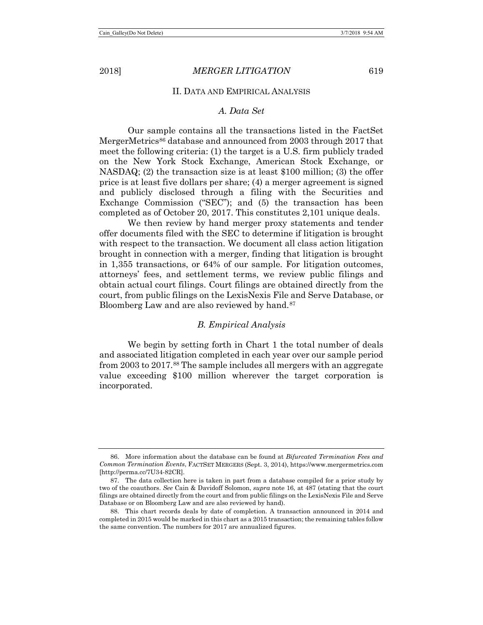#### II. DATA AND EMPIRICAL ANALYSIS

#### *A. Data Set*

Our sample contains all the transactions listed in the FactSet MergerMetrics<sup>[86](#page-16-0)</sup> database and announced from 2003 through 2017 that meet the following criteria: (1) the target is a U.S. firm publicly traded on the New York Stock Exchange, American Stock Exchange, or NASDAQ; (2) the transaction size is at least \$100 million; (3) the offer price is at least five dollars per share; (4) a merger agreement is signed and publicly disclosed through a filing with the Securities and Exchange Commission ("SEC"); and (5) the transaction has been completed as of October 20, 2017. This constitutes 2,101 unique deals.

We then review by hand merger proxy statements and tender offer documents filed with the SEC to determine if litigation is brought with respect to the transaction. We document all class action litigation brought in connection with a merger, finding that litigation is brought in 1,355 transactions, or 64% of our sample. For litigation outcomes, attorneys' fees, and settlement terms, we review public filings and obtain actual court filings. Court filings are obtained directly from the court, from public filings on the LexisNexis File and Serve Database, or Bloomberg Law and are also reviewed by hand.<sup>[87](#page-16-1)</sup>

#### *B. Empirical Analysis*

We begin by setting forth in Chart 1 the total number of deals and associated litigation completed in each year over our sample period from 2003 to 2017.[88](#page-16-2) The sample includes all mergers with an aggregate value exceeding \$100 million wherever the target corporation is incorporated.

<span id="page-16-0"></span><sup>86.</sup> More information about the database can be found at *Bifurcated Termination Fees and Common Termination Events*, FACTSET MERGERS (Sept. 3, 2014), [https://www.mergermetrics.com](https://www.mergermetrics.com/) [http://perma.cc/7U34-82CR].

<span id="page-16-1"></span><sup>87.</sup> The data collection here is taken in part from a database compiled for a prior study by two of the coauthors. *See* Cain & Davidoff Solomon, *supra* note [16,](#page-4-3) at 487 (stating that the court filings are obtained directly from the court and from public filings on the LexisNexis File and Serve Database or on Bloomberg Law and are also reviewed by hand).

<span id="page-16-2"></span><sup>88.</sup> This chart records deals by date of completion. A transaction announced in 2014 and completed in 2015 would be marked in this chart as a 2015 transaction; the remaining tables follow the same convention. The numbers for 2017 are annualized figures.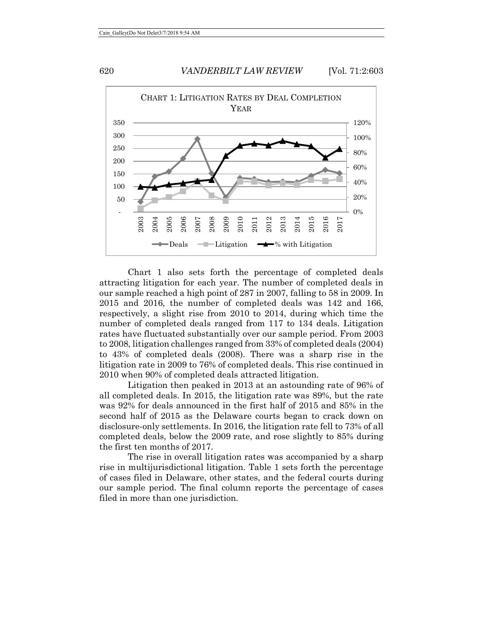

Chart 1 also sets forth the percentage of completed deals attracting litigation for each year. The number of completed deals in our sample reached a high point of 287 in 2007, falling to 58 in 2009. In 2015 and 2016, the number of completed deals was 142 and 166, respectively, a slight rise from 2010 to 2014, during which time the number of completed deals ranged from 117 to 134 deals. Litigation rates have fluctuated substantially over our sample period. From 2003 to 2008, litigation challenges ranged from 33% of completed deals (2004) to 43% of completed deals (2008). There was a sharp rise in the litigation rate in 2009 to 76% of completed deals. This rise continued in 2010 when 90% of completed deals attracted litigation.

Litigation then peaked in 2013 at an astounding rate of 96% of all completed deals. In 2015, the litigation rate was 89%, but the rate was 92% for deals announced in the first half of 2015 and 85% in the second half of 2015 as the Delaware courts began to crack down on disclosure-only settlements. In 2016, the litigation rate fell to 73% of all completed deals, below the 2009 rate, and rose slightly to 85% during the first ten months of 2017.

The rise in overall litigation rates was accompanied by a sharp rise in multijurisdictional litigation. Table 1 sets forth the percentage of cases filed in Delaware, other states, and the federal courts during our sample period. The final column reports the percentage of cases filed in more than one jurisdiction.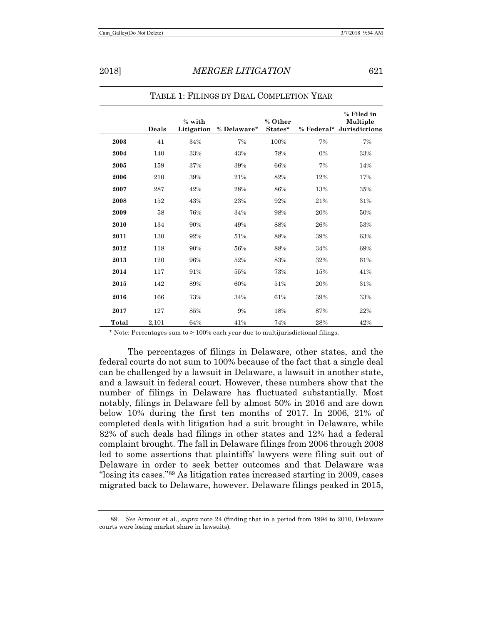|       | Deals | % with<br>Litigation | % Delaware* | % Other<br>States* |     | % Filed in<br>Multiple<br>% Federal* Jurisdictions |
|-------|-------|----------------------|-------------|--------------------|-----|----------------------------------------------------|
| 2003  | 41    | 34%                  | 7%          | 100%               | 7%  | 7%                                                 |
| 2004  | 140   | 33%                  | 43%         | 78%                | 0%  | 33%                                                |
| 2005  | 159   | 37%                  | 39%         | 66%                | 7%  | 14%                                                |
| 2006  | 210   | 39%                  | 21%         | 82%                | 12% | 17%                                                |
| 2007  | 287   | 42%                  | 28%         | 86%                | 13% | 35%                                                |
| 2008  | 152   | 43%                  | 23%         | 92%                | 21% | 31%                                                |
| 2009  | 58    | 76%                  | 34%         | 98%                | 20% | 50%                                                |
| 2010  | 134   | 90%                  | 49%         | 88%                | 26% | 53%                                                |
| 2011  | 130   | 92%                  | 51%         | 88%                | 39% | 63%                                                |
| 2012  | 118   | 90%                  | 56%         | 88%                | 34% | 69%                                                |
| 2013  | 120   | 96%                  | 52%         | 83%                | 32% | 61%                                                |
| 2014  | 117   | 91%                  | 55%         | 73%                | 15% | 41%                                                |
| 2015  | 142   | 89%                  | 60%         | 51%                | 20% | 31%                                                |
| 2016  | 166   | 73%                  | 34%         | 61%                | 39% | 33%                                                |
| 2017  | 127   | 85%                  | 9%          | 18%                | 87% | 22%                                                |
| Total | 2,101 | 64%                  | 41%         | 74%                | 28% | 42%                                                |

TABLE 1: FILINGS BY DEAL COMPLETION YEAR

\* Note: Percentages sum to > 100% each year due to multijurisdictional filings.

The percentages of filings in Delaware, other states, and the federal courts do not sum to 100% because of the fact that a single deal can be challenged by a lawsuit in Delaware, a lawsuit in another state, and a lawsuit in federal court. However, these numbers show that the number of filings in Delaware has fluctuated substantially. Most notably, filings in Delaware fell by almost 50% in 2016 and are down below 10% during the first ten months of 2017. In 2006, 21% of completed deals with litigation had a suit brought in Delaware, while 82% of such deals had filings in other states and 12% had a federal complaint brought. The fall in Delaware filings from 2006 through 2008 led to some assertions that plaintiffs' lawyers were filing suit out of Delaware in order to seek better outcomes and that Delaware was "losing its cases."[89](#page-18-0) As litigation rates increased starting in 2009, cases migrated back to Delaware, however. Delaware filings peaked in 2015,

<span id="page-18-0"></span><sup>89</sup>*. See* Armour et al., *supra* note [24](#page-7-5) (finding that in a period from 1994 to 2010, Delaware courts were losing market share in lawsuits).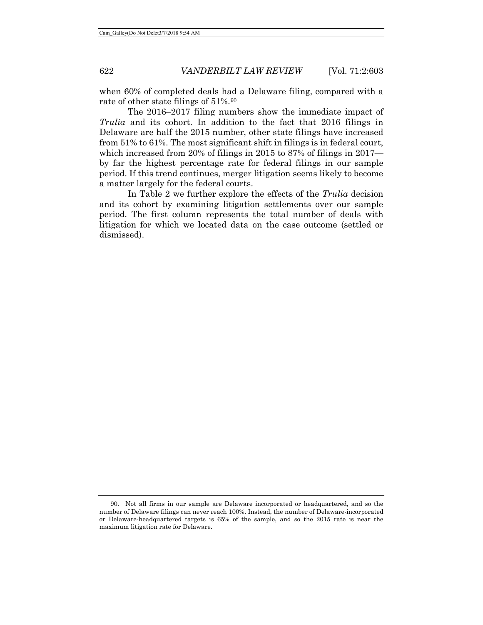when 60% of completed deals had a Delaware filing, compared with a rate of other state filings of 51%.<sup>[90](#page-19-0)</sup>

The 2016–2017 filing numbers show the immediate impact of *Trulia* and its cohort. In addition to the fact that 2016 filings in Delaware are half the 2015 number, other state filings have increased from 51% to 61%. The most significant shift in filings is in federal court, which increased from 20% of filings in 2015 to 87% of filings in 2017 by far the highest percentage rate for federal filings in our sample period. If this trend continues, merger litigation seems likely to become a matter largely for the federal courts.

In Table 2 we further explore the effects of the *Trulia* decision and its cohort by examining litigation settlements over our sample period. The first column represents the total number of deals with litigation for which we located data on the case outcome (settled or dismissed).

<span id="page-19-0"></span><sup>90.</sup> Not all firms in our sample are Delaware incorporated or headquartered, and so the number of Delaware filings can never reach 100%. Instead, the number of Delaware-incorporated or Delaware-headquartered targets is 65% of the sample, and so the 2015 rate is near the maximum litigation rate for Delaware.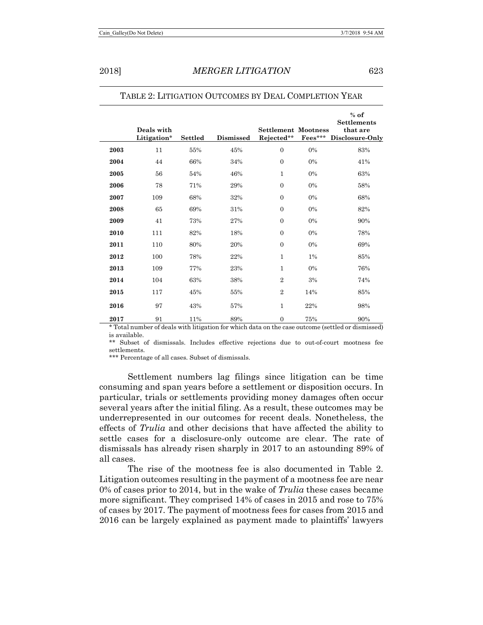|      | Deals with<br>Litigation* | <b>Settled</b> | Dismissed | <b>Settlement Mootness</b><br>Rejected** | Fees*** | $%$ of<br><b>Settlements</b><br>that are<br>Disclosure-Only |
|------|---------------------------|----------------|-----------|------------------------------------------|---------|-------------------------------------------------------------|
| 2003 | 11                        | 55%            | 45%       | $\overline{0}$                           | $0\%$   | 83%                                                         |
| 2004 | 44                        | 66%            | 34%       | $\overline{0}$                           | 0%      | 41%                                                         |
| 2005 | 56                        | 54%            | 46%       | $\mathbf{1}$                             | 0%      | 63%                                                         |
| 2006 | 78                        | 71%            | 29%       | $\overline{0}$                           | 0%      | 58%                                                         |
| 2007 | 109                       | 68%            | 32%       | $\overline{0}$                           | 0%      | 68%                                                         |
| 2008 | 65                        | 69%            | 31%       | $\overline{0}$                           | 0%      | 82%                                                         |
| 2009 | 41                        | 73%            | 27%       | $\overline{0}$                           | 0%      | 90%                                                         |
| 2010 | 111                       | 82%            | 18%       | $\overline{0}$                           | 0%      | 78%                                                         |
| 2011 | 110                       | 80%            | 20%       | $\overline{0}$                           | 0%      | 69%                                                         |
| 2012 | 100                       | 78%            | 22%       | $\mathbf{1}$                             | 1%      | 85%                                                         |
| 2013 | 109                       | 77%            | 23%       | $\mathbf{1}$                             | 0%      | 76%                                                         |
| 2014 | 104                       | 63%            | 38%       | $\overline{2}$                           | 3%      | 74%                                                         |
| 2015 | 117                       | 45%            | 55%       | $\overline{2}$                           | 14%     | 85%                                                         |
| 2016 | 97                        | 43%            | 57%       | $\mathbf 1$                              | 22%     | 98%                                                         |
| 2017 | 91                        | 11%            | 89%       | $\boldsymbol{0}$                         | 75%     | 90%                                                         |

#### TABLE 2: LITIGATION OUTCOMES BY DEAL COMPLETION YEAR

\* Total number of deals with litigation for which data on the case outcome (settled or dismissed) is available.

\*\* Subset of dismissals. Includes effective rejections due to out-of-court mootness fee settlements.

\*\*\* Percentage of all cases. Subset of dismissals.

Settlement numbers lag filings since litigation can be time consuming and span years before a settlement or disposition occurs. In particular, trials or settlements providing money damages often occur several years after the initial filing. As a result, these outcomes may be underrepresented in our outcomes for recent deals. Nonetheless, the effects of *Trulia* and other decisions that have affected the ability to settle cases for a disclosure-only outcome are clear. The rate of dismissals has already risen sharply in 2017 to an astounding 89% of all cases.

The rise of the mootness fee is also documented in Table 2. Litigation outcomes resulting in the payment of a mootness fee are near 0% of cases prior to 2014, but in the wake of *Trulia* these cases became more significant. They comprised 14% of cases in 2015 and rose to 75% of cases by 2017. The payment of mootness fees for cases from 2015 and 2016 can be largely explained as payment made to plaintiffs' lawyers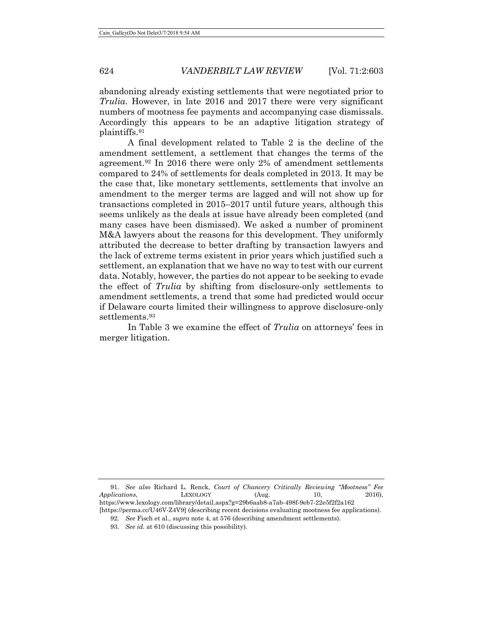abandoning already existing settlements that were negotiated prior to *Trulia*. However, in late 2016 and 2017 there were very significant numbers of mootness fee payments and accompanying case dismissals. Accordingly this appears to be an adaptive litigation strategy of plaintiffs.[91](#page-21-0)

A final development related to Table 2 is the decline of the amendment settlement, a settlement that changes the terms of the agreement.[92](#page-21-1) In 2016 there were only 2% of amendment settlements compared to 24% of settlements for deals completed in 2013. It may be the case that, like monetary settlements, settlements that involve an amendment to the merger terms are lagged and will not show up for transactions completed in 2015–2017 until future years, although this seems unlikely as the deals at issue have already been completed (and many cases have been dismissed). We asked a number of prominent M&A lawyers about the reasons for this development. They uniformly attributed the decrease to better drafting by transaction lawyers and the lack of extreme terms existent in prior years which justified such a settlement, an explanation that we have no way to test with our current data. Notably, however, the parties do not appear to be seeking to evade the effect of *Trulia* by shifting from disclosure-only settlements to amendment settlements, a trend that some had predicted would occur if Delaware courts limited their willingness to approve disclosure-only settlements.<sup>[93](#page-21-2)</sup>

In Table 3 we examine the effect of *Trulia* on attorneys' fees in merger litigation.

<span id="page-21-2"></span><span id="page-21-1"></span><span id="page-21-0"></span><sup>91</sup>*. See also* Richard L. Renck, *Court of Chancery Critically Reviewing "Mootness" Fee Applications*, LEXOLOGY (Aug. 10, 2016), https://www.lexology.com/library/detail.aspx?g=29b6aab8-a7ab-498f-9eb7-22e5f2f2a162 [https://perma.cc/U46V-Z4V9] (describing recent decisions evaluating mootness fee applications).

<sup>92</sup>*. See* Fisch et al., *supra* not[e 4,](#page-2-0) at 576 (describing amendment settlements).

<sup>93</sup>*. See id.* at 610 (discussing this possibility).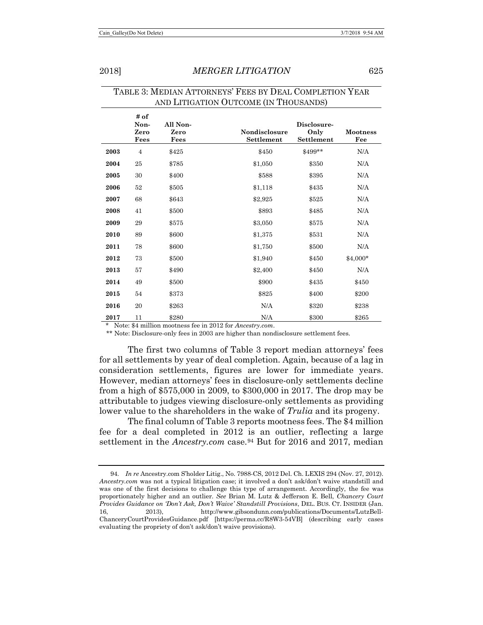|      | # of<br>Non-<br>Zero<br>Fees | All Non-<br>Zero<br>Fees | <b>Nondisclosure</b><br>Settlement | Disclosure-<br>Only<br>Settlement | <b>Mootness</b><br>Fee |
|------|------------------------------|--------------------------|------------------------------------|-----------------------------------|------------------------|
| 2003 | $\overline{4}$               | \$425                    | \$450                              | \$499**                           | N/A                    |
| 2004 | 25                           | \$785                    | \$1,050                            | \$350                             | N/A                    |
| 2005 | 30                           | \$400                    | \$588                              | \$395                             | N/A                    |
| 2006 | 52                           | \$505                    | \$1,118                            | \$435                             | N/A                    |
| 2007 | 68                           | \$643                    | \$2,925                            | \$525                             | N/A                    |
| 2008 | 41                           | \$500                    | \$893                              | \$485                             | N/A                    |
| 2009 | 29                           | \$575                    | \$3,050                            | \$575                             | N/A                    |
| 2010 | 89                           | \$600                    | \$1,375                            | \$531                             | N/A                    |
| 2011 | 78                           | \$600                    | \$1,750                            | \$500                             | N/A                    |
| 2012 | 73                           | \$500                    | \$1,940                            | \$450                             | $$4,000*$              |
| 2013 | 57                           | \$490                    | \$2,400                            | \$450                             | N/A                    |
| 2014 | 49                           | \$500                    | \$900                              | \$435                             | \$450                  |
| 2015 | 54                           | \$373                    | \$825                              | \$400                             | \$200                  |
| 2016 | 20                           | \$263                    | N/A                                | \$320                             | \$238                  |
| 2017 | 11                           | \$280                    | N/A                                | \$300                             | \$265                  |

# TABLE 3: MEDIAN ATTORNEYS' FEES BY DEAL COMPLETION YEAR AND LITIGATION OUTCOME (IN THOUSANDS)

Note: \$4 million mootness fee in 2012 for *Ancestry.com*.

\*\* Note: Disclosure-only fees in 2003 are higher than nondisclosure settlement fees.

The first two columns of Table 3 report median attorneys' fees for all settlements by year of deal completion. Again, because of a lag in consideration settlements, figures are lower for immediate years. However, median attorneys' fees in disclosure-only settlements decline from a high of \$575,000 in 2009, to \$300,000 in 2017. The drop may be attributable to judges viewing disclosure-only settlements as providing lower value to the shareholders in the wake of *Trulia* and its progeny.

The final column of Table 3 reports mootness fees. The \$4 million fee for a deal completed in 2012 is an outlier, reflecting a large settlement in the *Ancestry.com* case.<sup>[94](#page-22-0)</sup> But for 2016 and 2017, median

<span id="page-22-0"></span><sup>94</sup>*. In re* Ancestry.com S'holder Litig., No. 7988-CS, 2012 Del. Ch. LEXIS 294 (Nov. 27, 2012). *Ancestry.com* was not a typical litigation case; it involved a don't ask/don't waive standstill and was one of the first decisions to challenge this type of arrangement. Accordingly, the fee was proportionately higher and an outlier. *See* Brian M. Lutz & Jefferson E. Bell, *Chancery Court Provides Guidance on 'Don't Ask, Don't Waive' Standstill Provisions*, DEL. BUS. CT. INSIDER (Jan. 16, 2013), http://www.gibsondunn.com/publications/Documents/LutzBell-ChanceryCourtProvidesGuidance.pdf [https://perma.cc/R8W3-54VB] (describing early cases evaluating the propriety of don't ask/don't waive provisions).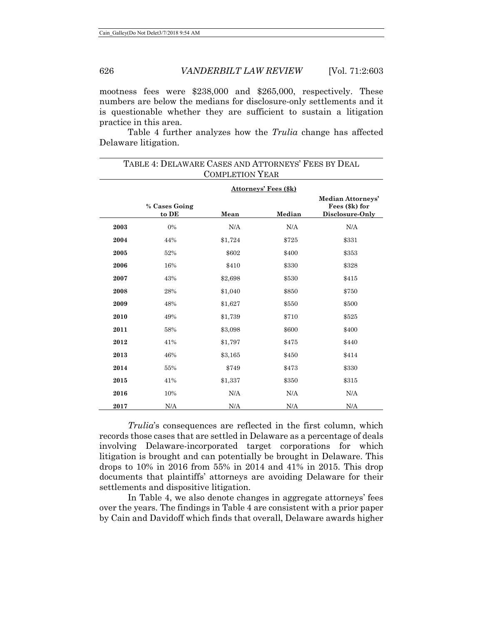mootness fees were \$238,000 and \$265,000, respectively. These numbers are below the medians for disclosure-only settlements and it is questionable whether they are sufficient to sustain a litigation practice in this area.

Table 4 further analyzes how the *Trulia* change has affected Delaware litigation.

| TABLE 4: DELAWARE CASES AND ATTORNEYS' FEES BY DEAL<br><b>COMPLETION YEAR</b> |                        |         |        |                                                        |  |  |  |  |
|-------------------------------------------------------------------------------|------------------------|---------|--------|--------------------------------------------------------|--|--|--|--|
|                                                                               | Attorneys' Fees (\$k)  |         |        |                                                        |  |  |  |  |
|                                                                               | % Cases Going<br>to DE | Mean    | Median | Median Attorneys'<br>Fees (\$k) for<br>Disclosure-Only |  |  |  |  |
| 2003                                                                          | 0%                     | N/A     | N/A    | N/A                                                    |  |  |  |  |
| 2004                                                                          | 44%                    | \$1,724 | \$725  | \$331                                                  |  |  |  |  |
| 2005                                                                          | 52%                    | \$602   | \$400  | \$353                                                  |  |  |  |  |
| 2006                                                                          | 16%                    | \$410   | \$330  | \$328                                                  |  |  |  |  |
| 2007                                                                          | 43%                    | \$2,698 | \$530  | \$415                                                  |  |  |  |  |
| 2008                                                                          | 28%                    | \$1,040 | \$850  | \$750                                                  |  |  |  |  |
| 2009                                                                          | 48%                    | \$1,627 | \$550  | \$500                                                  |  |  |  |  |
| 2010                                                                          | 49%                    | \$1,739 | \$710  | \$525                                                  |  |  |  |  |
| 2011                                                                          | 58%                    | \$3,098 | \$600  | \$400                                                  |  |  |  |  |
| 2012                                                                          | 41%                    | \$1,797 | \$475  | \$440                                                  |  |  |  |  |
| 2013                                                                          | 46%                    | \$3,165 | \$450  | \$414                                                  |  |  |  |  |
| 2014                                                                          | 55%                    | \$749   | \$473  | \$330                                                  |  |  |  |  |
| 2015                                                                          | 41%                    | \$1,337 | \$350  | \$315                                                  |  |  |  |  |
| 2016                                                                          | 10%                    | N/A     | N/A    | N/A                                                    |  |  |  |  |
| 2017                                                                          | N/A                    | N/A     | N/A    | N/A                                                    |  |  |  |  |

*Trulia*'s consequences are reflected in the first column, which records those cases that are settled in Delaware as a percentage of deals involving Delaware-incorporated target corporations for which litigation is brought and can potentially be brought in Delaware. This drops to 10% in 2016 from 55% in 2014 and 41% in 2015. This drop documents that plaintiffs' attorneys are avoiding Delaware for their settlements and dispositive litigation.

In Table 4, we also denote changes in aggregate attorneys' fees over the years. The findings in Table 4 are consistent with a prior paper by Cain and Davidoff which finds that overall, Delaware awards higher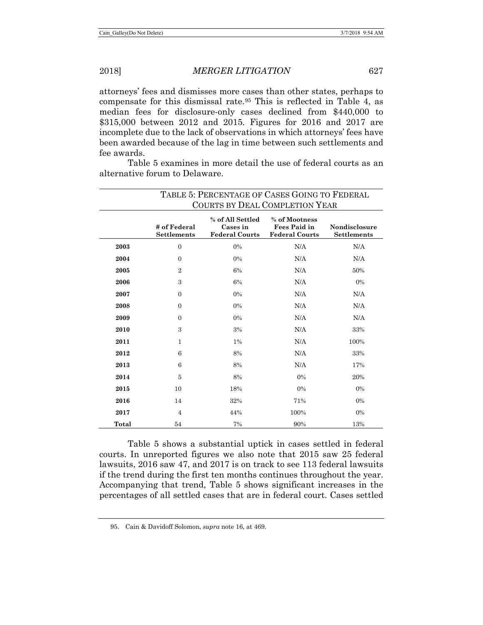attorneys' fees and dismisses more cases than other states, perhaps to compensate for this dismissal rate.[95](#page-24-0) This is reflected in Table 4, as median fees for disclosure-only cases declined from \$440,000 to \$315,000 between 2012 and 2015. Figures for 2016 and 2017 are incomplete due to the lack of observations in which attorneys' fees have been awarded because of the lag in time between such settlements and fee awards.

Table 5 examines in more detail the use of federal courts as an alternative forum to Delaware.

|       | TABLE 5: PERCENTAGE OF CASES GOING TO FEDERAL<br>COURTS BY DEAL COMPLETION YEAR |                                                       |                                                               |                                     |  |  |
|-------|---------------------------------------------------------------------------------|-------------------------------------------------------|---------------------------------------------------------------|-------------------------------------|--|--|
|       | # of Federal<br><b>Settlements</b>                                              | % of All Settled<br>Cases in<br><b>Federal Courts</b> | % of Mootness<br><b>Fees Paid in</b><br><b>Federal Courts</b> | <b>Nondisclosure</b><br>Settlements |  |  |
| 2003  | $\overline{0}$                                                                  | $0\%$                                                 | N/A                                                           | N/A                                 |  |  |
| 2004  | $\Omega$                                                                        | 0%                                                    | N/A                                                           | N/A                                 |  |  |
| 2005  | $\overline{2}$                                                                  | 6%                                                    | N/A                                                           | 50%                                 |  |  |
| 2006  | 3                                                                               | 6%                                                    | N/A                                                           | 0%                                  |  |  |
| 2007  | $\Omega$                                                                        | 0%                                                    | N/A                                                           | N/A                                 |  |  |
| 2008  | $\Omega$                                                                        | 0%                                                    | N/A                                                           | N/A                                 |  |  |
| 2009  | $\Omega$                                                                        | 0%                                                    | N/A                                                           | N/A                                 |  |  |
| 2010  | 3                                                                               | 3%                                                    | N/A                                                           | 33%                                 |  |  |
| 2011  | 1                                                                               | $1\%$                                                 | N/A                                                           | 100%                                |  |  |
| 2012  | 6                                                                               | 8%                                                    | N/A                                                           | 33%                                 |  |  |
| 2013  | 6                                                                               | 8%                                                    | N/A                                                           | 17%                                 |  |  |
| 2014  | $\overline{5}$                                                                  | 8%                                                    | 0%                                                            | 20%                                 |  |  |
| 2015  | 10                                                                              | 18%                                                   | 0%                                                            | 0%                                  |  |  |
| 2016  | 14                                                                              | 32%                                                   | 71%                                                           | $0\%$                               |  |  |
| 2017  | $\overline{4}$                                                                  | 44%                                                   | 100%                                                          | $0\%$                               |  |  |
| Total | 54                                                                              | 7%                                                    | 90%                                                           | 13%                                 |  |  |

Table 5 shows a substantial uptick in cases settled in federal courts. In unreported figures we also note that 2015 saw 25 federal lawsuits, 2016 saw 47, and 2017 is on track to see 113 federal lawsuits if the trend during the first ten months continues throughout the year. Accompanying that trend, Table 5 shows significant increases in the percentages of all settled cases that are in federal court. Cases settled

<span id="page-24-0"></span><sup>95.</sup> Cain & Davidoff Solomon, *supra* note [16,](#page-4-3) at 469.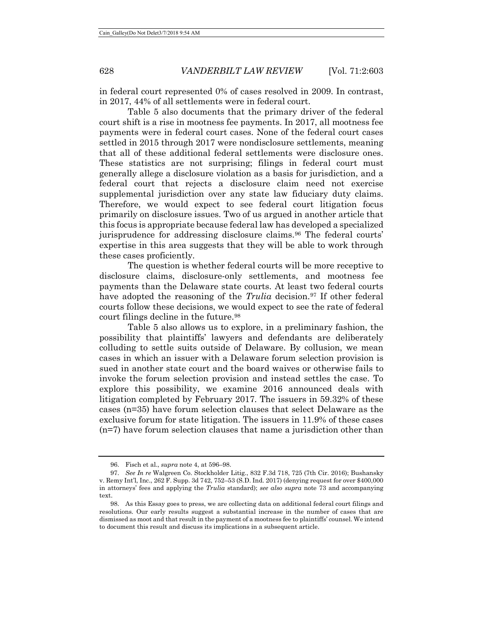in federal court represented 0% of cases resolved in 2009. In contrast, in 2017, 44% of all settlements were in federal court.

Table 5 also documents that the primary driver of the federal court shift is a rise in mootness fee payments. In 2017, all mootness fee payments were in federal court cases. None of the federal court cases settled in 2015 through 2017 were nondisclosure settlements, meaning that all of these additional federal settlements were disclosure ones. These statistics are not surprising; filings in federal court must generally allege a disclosure violation as a basis for jurisdiction, and a federal court that rejects a disclosure claim need not exercise supplemental jurisdiction over any state law fiduciary duty claims. Therefore, we would expect to see federal court litigation focus primarily on disclosure issues. Two of us argued in another article that this focus is appropriate because federal law has developed a specialized jurisprudence for addressing disclosure claims.<sup>[96](#page-25-0)</sup> The federal courts' expertise in this area suggests that they will be able to work through these cases proficiently.

The question is whether federal courts will be more receptive to disclosure claims, disclosure-only settlements, and mootness fee payments than the Delaware state courts. At least two federal courts have adopted the reasoning of the *Trulia* decision.<sup>97</sup> If other federal courts follow these decisions, we would expect to see the rate of federal court filings decline in the future.<sup>[98](#page-25-2)</sup>

<span id="page-25-3"></span>Table 5 also allows us to explore, in a preliminary fashion, the possibility that plaintiffs' lawyers and defendants are deliberately colluding to settle suits outside of Delaware. By collusion, we mean cases in which an issuer with a Delaware forum selection provision is sued in another state court and the board waives or otherwise fails to invoke the forum selection provision and instead settles the case. To explore this possibility, we examine 2016 announced deals with litigation completed by February 2017. The issuers in 59.32% of these cases (n=35) have forum selection clauses that select Delaware as the exclusive forum for state litigation. The issuers in 11.9% of these cases (n=7) have forum selection clauses that name a jurisdiction other than

<sup>96.</sup> Fisch et al., *supra* note [4,](#page-2-0) at 596–98.

<span id="page-25-1"></span><span id="page-25-0"></span><sup>97.</sup> *See In re* Walgreen Co. Stockholder Litig., 832 F.3d 718, 725 (7th Cir. 2016); Bushansky v. Remy Int'l, Inc., 262 F. Supp. 3d 742, 752–53 (S.D. Ind. 2017) (denying request for over \$400,000 in attorneys' fees and applying the *Trulia* standard); *see also supra* note [73](#page-14-8) and accompanying text.

<span id="page-25-2"></span><sup>98.</sup> As this Essay goes to press, we are collecting data on additional federal court filings and resolutions. Our early results suggest a substantial increase in the number of cases that are dismissed as moot and that result in the payment of a mootness fee to plaintiffs' counsel. We intend to document this result and discuss its implications in a subsequent article.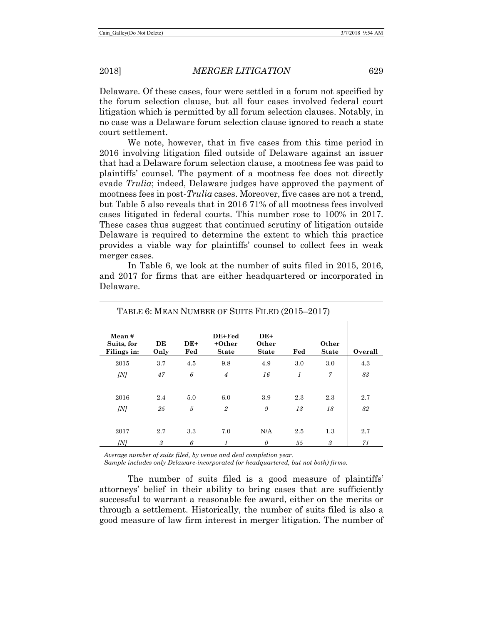Delaware. Of these cases, four were settled in a forum not specified by the forum selection clause, but all four cases involved federal court litigation which is permitted by all forum selection clauses. Notably, in no case was a Delaware forum selection clause ignored to reach a state court settlement.

We note, however, that in five cases from this time period in 2016 involving litigation filed outside of Delaware against an issuer that had a Delaware forum selection clause, a mootness fee was paid to plaintiffs' counsel. The payment of a mootness fee does not directly evade *Trulia*; indeed, Delaware judges have approved the payment of mootness fees in post-*Trulia* cases. Moreover, five cases are not a trend, but Table 5 also reveals that in 2016 71% of all mootness fees involved cases litigated in federal courts. This number rose to 100% in 2017. These cases thus suggest that continued scrutiny of litigation outside Delaware is required to determine the extent to which this practice provides a viable way for plaintiffs' counsel to collect fees in weak merger cases.

|                                    | TABLE 6: MEAN NUMBER OF SUITS FILED (2015-2017) |              |                                    |                                |     |                       |         |  |  |
|------------------------------------|-------------------------------------------------|--------------|------------------------------------|--------------------------------|-----|-----------------------|---------|--|--|
| Mean#<br>Suits, for<br>Filings in: | DE<br>Only                                      | $DE+$<br>Fed | DE+Fed<br>$+Other$<br><b>State</b> | $DE+$<br>Other<br><b>State</b> | Fed | Other<br><b>State</b> | Overall |  |  |
| 2015                               | 3.7                                             | 4.5          | 9.8                                | 4.9                            | 3.0 | 3.0                   | 4.3     |  |  |
| [N]                                | 47                                              | 6            | $\overline{4}$                     | 16                             | 1   | $\overline{7}$        | 83      |  |  |
| 2016                               | 2.4                                             | 5.0          | 6.0                                | 3.9                            | 2.3 | 2.3                   | 2.7     |  |  |
| [N]                                | 25                                              | 5            | $\mathfrak{D}$                     | 9                              | 13  | 18                    | 82      |  |  |
| 2017                               | 2.7                                             | 3.3          | 7.0                                | N/A                            | 2.5 | 1.3                   | 2.7     |  |  |
| [N]                                | 3                                               | 6            | 1                                  | 0                              | 55  | 3                     | 71      |  |  |

In Table 6, we look at the number of suits filed in 2015, 2016, and 2017 for firms that are either headquartered or incorporated in Delaware.

*Average number of suits filed, by venue and deal completion year.*

*Sample includes only Delaware-incorporated (or headquartered, but not both) firms.*

The number of suits filed is a good measure of plaintiffs' attorneys' belief in their ability to bring cases that are sufficiently successful to warrant a reasonable fee award, either on the merits or through a settlement. Historically, the number of suits filed is also a good measure of law firm interest in merger litigation. The number of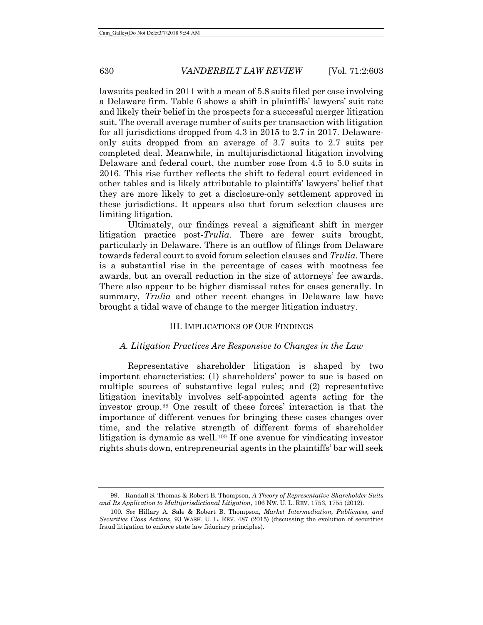lawsuits peaked in 2011 with a mean of 5.8 suits filed per case involving a Delaware firm. Table 6 shows a shift in plaintiffs' lawyers' suit rate and likely their belief in the prospects for a successful merger litigation suit. The overall average number of suits per transaction with litigation for all jurisdictions dropped from 4.3 in 2015 to 2.7 in 2017. Delawareonly suits dropped from an average of 3.7 suits to 2.7 suits per completed deal. Meanwhile, in multijurisdictional litigation involving Delaware and federal court, the number rose from 4.5 to 5.0 suits in 2016. This rise further reflects the shift to federal court evidenced in other tables and is likely attributable to plaintiffs' lawyers' belief that they are more likely to get a disclosure-only settlement approved in these jurisdictions. It appears also that forum selection clauses are limiting litigation.

Ultimately, our findings reveal a significant shift in merger litigation practice post-*Trulia*. There are fewer suits brought, particularly in Delaware. There is an outflow of filings from Delaware towards federal court to avoid forum selection clauses and *Trulia*. There is a substantial rise in the percentage of cases with mootness fee awards, but an overall reduction in the size of attorneys' fee awards. There also appear to be higher dismissal rates for cases generally. In summary, *Trulia* and other recent changes in Delaware law have brought a tidal wave of change to the merger litigation industry.

### III. IMPLICATIONS OF OUR FINDINGS

# <span id="page-27-2"></span>*A. Litigation Practices Are Responsive to Changes in the Law*

Representative shareholder litigation is shaped by two important characteristics: (1) shareholders' power to sue is based on multiple sources of substantive legal rules; and (2) representative litigation inevitably involves self-appointed agents acting for the investor group.[99](#page-27-0) One result of these forces' interaction is that the importance of different venues for bringing these cases changes over time, and the relative strength of different forms of shareholder litigation is dynamic as well.[100](#page-27-1) If one avenue for vindicating investor rights shuts down, entrepreneurial agents in the plaintiffs' bar will seek

<span id="page-27-0"></span><sup>99.</sup> Randall S. Thomas & Robert B. Thompson, *A Theory of Representative Shareholder Suits and Its Application to Multijurisdictional Litigation*, 106 NW. U. L. REV. 1753, 1755 (2012).

<span id="page-27-1"></span><sup>100</sup>*. See* Hillary A. Sale & Robert B. Thompson, *Market Intermediation, Publicness, and Securities Class Actions*, 93 WASH. U. L. REV. 487 (2015) (discussing the evolution of securities fraud litigation to enforce state law fiduciary principles).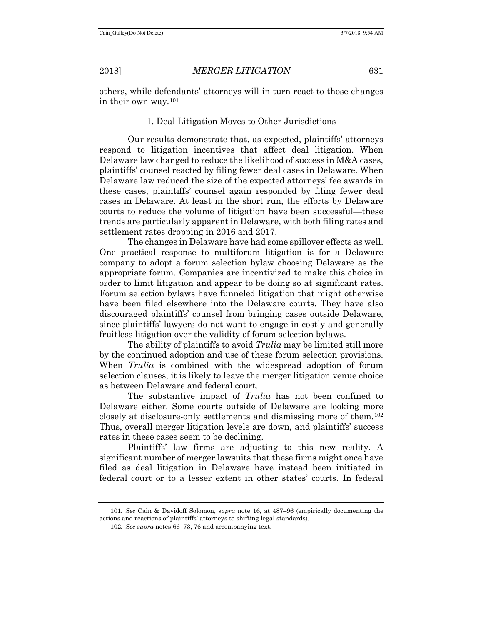others, while defendants' attorneys will in turn react to those changes in their own way.[101](#page-28-0)

# 1. Deal Litigation Moves to Other Jurisdictions

Our results demonstrate that, as expected, plaintiffs' attorneys respond to litigation incentives that affect deal litigation. When Delaware law changed to reduce the likelihood of success in M&A cases, plaintiffs' counsel reacted by filing fewer deal cases in Delaware. When Delaware law reduced the size of the expected attorneys' fee awards in these cases, plaintiffs' counsel again responded by filing fewer deal cases in Delaware. At least in the short run, the efforts by Delaware courts to reduce the volume of litigation have been successful—these trends are particularly apparent in Delaware, with both filing rates and settlement rates dropping in 2016 and 2017.

The changes in Delaware have had some spillover effects as well. One practical response to multiforum litigation is for a Delaware company to adopt a forum selection bylaw choosing Delaware as the appropriate forum. Companies are incentivized to make this choice in order to limit litigation and appear to be doing so at significant rates. Forum selection bylaws have funneled litigation that might otherwise have been filed elsewhere into the Delaware courts. They have also discouraged plaintiffs' counsel from bringing cases outside Delaware, since plaintiffs' lawyers do not want to engage in costly and generally fruitless litigation over the validity of forum selection bylaws.

The ability of plaintiffs to avoid *Trulia* may be limited still more by the continued adoption and use of these forum selection provisions. When *Trulia* is combined with the widespread adoption of forum selection clauses, it is likely to leave the merger litigation venue choice as between Delaware and federal court.

The substantive impact of *Trulia* has not been confined to Delaware either. Some courts outside of Delaware are looking more closely at disclosure-only settlements and dismissing more of them.[102](#page-28-1) Thus, overall merger litigation levels are down, and plaintiffs' success rates in these cases seem to be declining.

Plaintiffs' law firms are adjusting to this new reality. A significant number of merger lawsuits that these firms might once have filed as deal litigation in Delaware have instead been initiated in federal court or to a lesser extent in other states' courts. In federal

<span id="page-28-1"></span><span id="page-28-0"></span><sup>101</sup>*. See* Cain & Davidoff Solomon, *supra* note [16,](#page-4-3) at 487–96 (empirically documenting the actions and reactions of plaintiffs' attorneys to shifting legal standards).

<sup>102</sup>*. See supra* notes [66](#page-13-6)[–73,](#page-14-8) [76](#page-14-9) and accompanying text.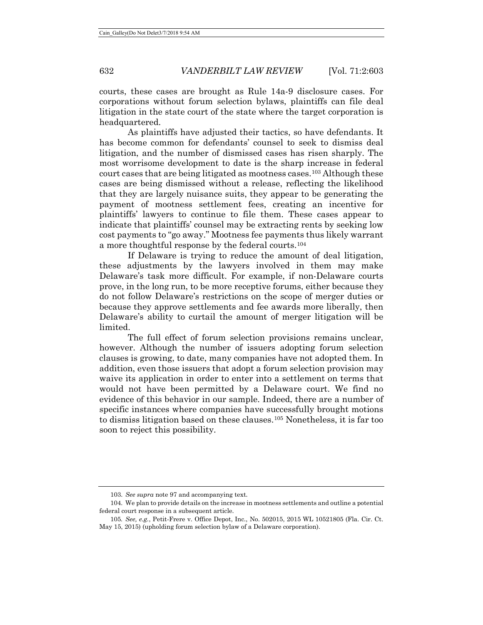courts, these cases are brought as Rule 14a-9 disclosure cases. For corporations without forum selection bylaws, plaintiffs can file deal litigation in the state court of the state where the target corporation is headquartered.

As plaintiffs have adjusted their tactics, so have defendants. It has become common for defendants' counsel to seek to dismiss deal litigation, and the number of dismissed cases has risen sharply. The most worrisome development to date is the sharp increase in federal court cases that are being litigated as mootness cases.<sup>[103](#page-29-0)</sup> Although these cases are being dismissed without a release, reflecting the likelihood that they are largely nuisance suits, they appear to be generating the payment of mootness settlement fees, creating an incentive for plaintiffs' lawyers to continue to file them. These cases appear to indicate that plaintiffs' counsel may be extracting rents by seeking low cost payments to "go away." Mootness fee payments thus likely warrant a more thoughtful response by the federal courts.[104](#page-29-1)

If Delaware is trying to reduce the amount of deal litigation, these adjustments by the lawyers involved in them may make Delaware's task more difficult. For example, if non-Delaware courts prove, in the long run, to be more receptive forums, either because they do not follow Delaware's restrictions on the scope of merger duties or because they approve settlements and fee awards more liberally, then Delaware's ability to curtail the amount of merger litigation will be limited.

The full effect of forum selection provisions remains unclear, however. Although the number of issuers adopting forum selection clauses is growing, to date, many companies have not adopted them. In addition, even those issuers that adopt a forum selection provision may waive its application in order to enter into a settlement on terms that would not have been permitted by a Delaware court. We find no evidence of this behavior in our sample. Indeed, there are a number of specific instances where companies have successfully brought motions to dismiss litigation based on these clauses.[105](#page-29-2) Nonetheless, it is far too soon to reject this possibility.

<sup>103.</sup> *See supra* not[e 97](#page-25-3) and accompanying text.

<span id="page-29-1"></span><span id="page-29-0"></span><sup>104.</sup> We plan to provide details on the increase in mootness settlements and outline a potential federal court response in a subsequent article.

<span id="page-29-2"></span><sup>105</sup>*. See, e.g.*, Petit-Frere v. Office Depot, Inc., No. 502015, 2015 WL 10521805 (Fla. Cir. Ct. May 15, 2015) (upholding forum selection bylaw of a Delaware corporation).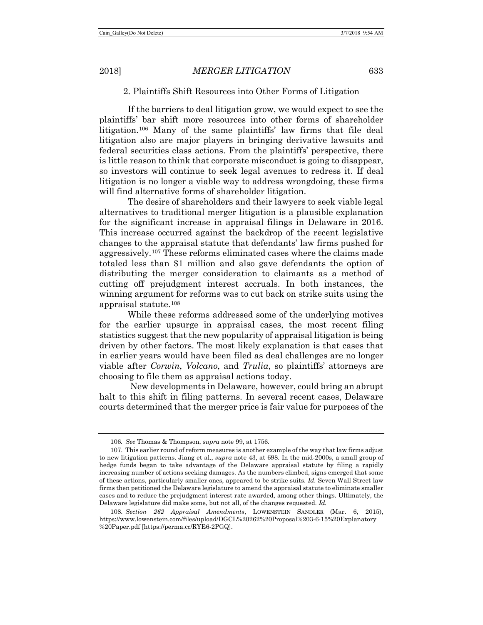# 2. Plaintiffs Shift Resources into Other Forms of Litigation

If the barriers to deal litigation grow, we would expect to see the plaintiffs' bar shift more resources into other forms of shareholder litigation.[106](#page-30-0) Many of the same plaintiffs' law firms that file deal litigation also are major players in bringing derivative lawsuits and federal securities class actions. From the plaintiffs' perspective, there is little reason to think that corporate misconduct is going to disappear, so investors will continue to seek legal avenues to redress it. If deal litigation is no longer a viable way to address wrongdoing, these firms will find alternative forms of shareholder litigation.

The desire of shareholders and their lawyers to seek viable legal alternatives to traditional merger litigation is a plausible explanation for the significant increase in appraisal filings in Delaware in 2016. This increase occurred against the backdrop of the recent legislative changes to the appraisal statute that defendants' law firms pushed for aggressively.[107](#page-30-1) These reforms eliminated cases where the claims made totaled less than \$1 million and also gave defendants the option of distributing the merger consideration to claimants as a method of cutting off prejudgment interest accruals. In both instances, the winning argument for reforms was to cut back on strike suits using the appraisal statute.[108](#page-30-2)

While these reforms addressed some of the underlying motives for the earlier upsurge in appraisal cases, the most recent filing statistics suggest that the new popularity of appraisal litigation is being driven by other factors. The most likely explanation is that cases that in earlier years would have been filed as deal challenges are no longer viable after *Corwin*, *Volcano*, and *Trulia*, so plaintiffs' attorneys are choosing to file them as appraisal actions today.

New developments in Delaware, however, could bring an abrupt halt to this shift in filing patterns. In several recent cases, Delaware courts determined that the merger price is fair value for purposes of the

<sup>106</sup>*. See* Thomas & Thompson, *supra* not[e 99,](#page-27-2) at 1756.

<span id="page-30-1"></span><span id="page-30-0"></span><sup>107.</sup> This earlier round of reform measures is another example of the way that law firms adjust to new litigation patterns. Jiang et al., *supra* note [43,](#page-9-2) at 698. In the mid-2000s, a small group of hedge funds began to take advantage of the Delaware appraisal statute by filing a rapidly increasing number of actions seeking damages. As the numbers climbed, signs emerged that some of these actions, particularly smaller ones, appeared to be strike suits. *Id.* Seven Wall Street law firms then petitioned the Delaware legislature to amend the appraisal statute to eliminate smaller cases and to reduce the prejudgment interest rate awarded, among other things. Ultimately, the Delaware legislature did make some, but not all, of the changes requested. *Id.*

<span id="page-30-2"></span><sup>108.</sup> *Section 262 Appraisal Amendments*, LOWENSTEIN SANDLER (Mar. 6, 2015), https://www.lowenstein.com/files/upload/DGCL%20262%20Proposal%203-6-15%20Explanatory %20Paper.pdf [https://perma.cc/RYE6-2PGQ].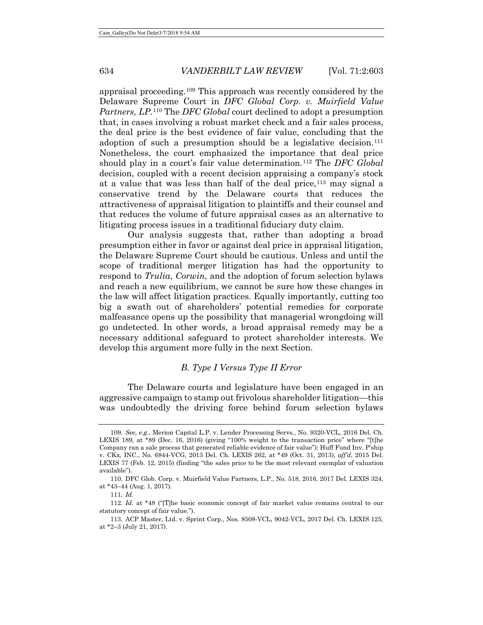appraisal proceeding.[109](#page-31-0) This approach was recently considered by the Delaware Supreme Court in *DFC Global Corp. v. Muirfield Value Partners, LP*.[110](#page-31-1) The *DFC Global* court declined to adopt a presumption that, in cases involving a robust market check and a fair sales process, the deal price is the best evidence of fair value, concluding that the adoption of such a presumption should be a legislative decision.<sup>[111](#page-31-2)</sup> Nonetheless, the court emphasized the importance that deal price should play in a court's fair value determination.[112](#page-31-3) The *DFC Global* decision, coupled with a recent decision appraising a company's stock at a value that was less than half of the deal price,  $113$  may signal a conservative trend by the Delaware courts that reduces the attractiveness of appraisal litigation to plaintiffs and their counsel and that reduces the volume of future appraisal cases as an alternative to litigating process issues in a traditional fiduciary duty claim.

Our analysis suggests that, rather than adopting a broad presumption either in favor or against deal price in appraisal litigation, the Delaware Supreme Court should be cautious. Unless and until the scope of traditional merger litigation has had the opportunity to respond to *Trulia*, *Corwin*, and the adoption of forum selection bylaws and reach a new equilibrium, we cannot be sure how these changes in the law will affect litigation practices. Equally importantly, cutting too big a swath out of shareholders' potential remedies for corporate malfeasance opens up the possibility that managerial wrongdoing will go undetected. In other words, a broad appraisal remedy may be a necessary additional safeguard to protect shareholder interests. We develop this argument more fully in the next Section.

#### *B. Type I Versus Type II Error*

The Delaware courts and legislature have been engaged in an aggressive campaign to stamp out frivolous shareholder litigation—this was undoubtedly the driving force behind forum selection bylaws

<span id="page-31-0"></span><sup>109</sup>*. See, e.g.*, Merion Capital L.P. v. Lender Processing Servs., No. 9320-VCL, 2016 Del. Ch. LEXIS 189, at \*89 (Dec. 16, 2016) (giving "100% weight to the transaction price" where "[t]he Company ran a sale process that generated reliable evidence of fair value"); Huff Fund Inv. P'ship v. CKx, INC., No. 6844-VCG, 2013 Del. Ch. LEXIS 262, at \*49 (Oct. 31, 2013), *aff'd*, 2015 Del. LEXIS 77 (Feb. 12, 2015) (finding "the sales price to be the most relevant exemplar of valuation available").

<span id="page-31-1"></span><sup>110.</sup> DFC Glob. Corp. v. Muirfield Value Partners, L.P., No. 518, 2016, 2017 Del. LEXIS 324, at \*43–44 (Aug. 1, 2017).

<sup>111</sup>*. Id.*

<span id="page-31-3"></span><span id="page-31-2"></span><sup>112</sup>*. Id.* at \*48 ("[T]he basic economic concept of fair market value remains central to our statutory concept of fair value.").

<span id="page-31-4"></span><sup>113.</sup> ACP Master, Ltd. v. Sprint Corp*.,* Nos. 8508-VCL, 9042-VCL, 2017 Del. Ch. LEXIS 125, at \*2–3 (July 21, 2017).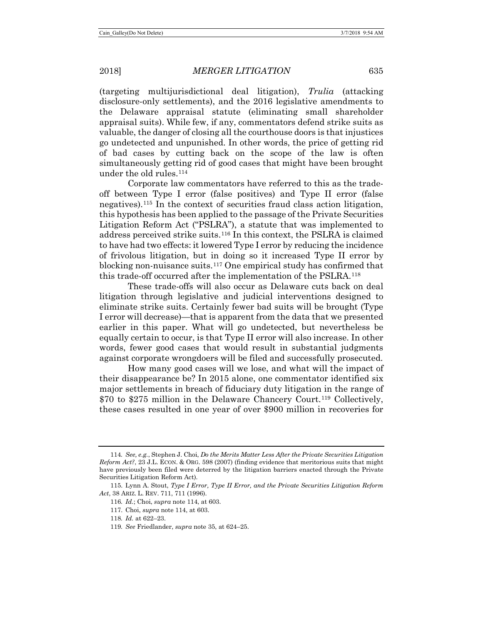(targeting multijurisdictional deal litigation), *Trulia* (attacking disclosure-only settlements), and the 2016 legislative amendments to the Delaware appraisal statute (eliminating small shareholder appraisal suits). While few, if any, commentators defend strike suits as valuable, the danger of closing all the courthouse doors is that injustices go undetected and unpunished. In other words, the price of getting rid of bad cases by cutting back on the scope of the law is often simultaneously getting rid of good cases that might have been brought under the old rules.[114](#page-32-1)

<span id="page-32-0"></span>Corporate law commentators have referred to this as the tradeoff between Type I error (false positives) and Type II error (false negatives).[115](#page-32-2) In the context of securities fraud class action litigation, this hypothesis has been applied to the passage of the Private Securities Litigation Reform Act ("PSLRA"), a statute that was implemented to address perceived strike suits.[116](#page-32-3) In this context, the PSLRA is claimed to have had two effects: it lowered Type I error by reducing the incidence of frivolous litigation, but in doing so it increased Type II error by blocking non-nuisance suits.[117](#page-32-4) One empirical study has confirmed that this trade-off occurred after the implementation of the PSLRA.[118](#page-32-5)

These trade-offs will also occur as Delaware cuts back on deal litigation through legislative and judicial interventions designed to eliminate strike suits. Certainly fewer bad suits will be brought (Type I error will decrease)—that is apparent from the data that we presented earlier in this paper. What will go undetected, but nevertheless be equally certain to occur, is that Type II error will also increase. In other words, fewer good cases that would result in substantial judgments against corporate wrongdoers will be filed and successfully prosecuted.

How many good cases will we lose, and what will the impact of their disappearance be? In 2015 alone, one commentator identified six major settlements in breach of fiduciary duty litigation in the range of \$70 to \$275 million in the Delaware Chancery Court.<sup>[119](#page-32-6)</sup> Collectively, these cases resulted in one year of over \$900 million in recoveries for

<span id="page-32-1"></span><sup>114</sup>*. See, e.g.*, Stephen J. Choi, *Do the Merits Matter Less After the Private Securities Litigation Reform Act?*, 23 J.L. ECON. & ORG. 598 (2007) (finding evidence that meritorious suits that might have previously been filed were deterred by the litigation barriers enacted through the Private Securities Litigation Reform Act).

<span id="page-32-6"></span><span id="page-32-5"></span><span id="page-32-4"></span><span id="page-32-3"></span><span id="page-32-2"></span><sup>115.</sup> Lynn A. Stout, *Type I Error, Type II Error, and the Private Securities Litigation Reform Act*, 38 ARIZ. L. REV. 711, 711 (1996).

<sup>116</sup>*. Id.*; Choi, *supra* note [114,](#page-32-0) at 603.

<sup>117.</sup> Choi, *supra* not[e 114,](#page-32-0) at 603.

<sup>118</sup>*. Id.* at 622–23.

<sup>119</sup>*. See* Friedlander, *supra* not[e 35,](#page-8-8) at 624–25.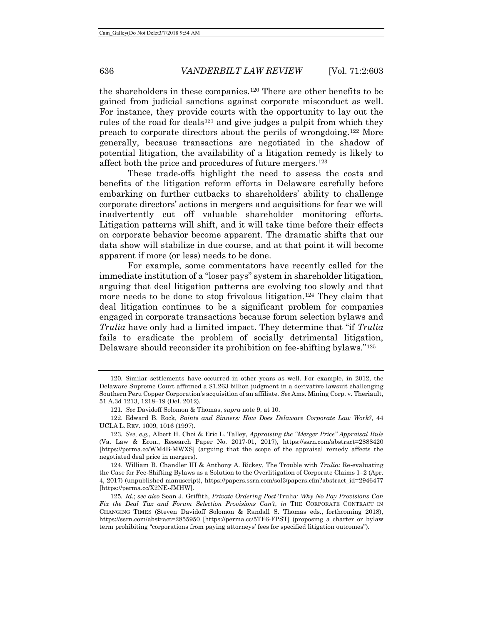the shareholders in these companies.<sup>[120](#page-33-0)</sup> There are other benefits to be gained from judicial sanctions against corporate misconduct as well. For instance, they provide courts with the opportunity to lay out the rules of the road for deals<sup>[121](#page-33-1)</sup> and give judges a pulpit from which they preach to corporate directors about the perils of wrongdoing.[122](#page-33-2) More generally, because transactions are negotiated in the shadow of potential litigation, the availability of a litigation remedy is likely to affect both the price and procedures of future mergers.[123](#page-33-3)

These trade-offs highlight the need to assess the costs and benefits of the litigation reform efforts in Delaware carefully before embarking on further cutbacks to shareholders' ability to challenge corporate directors' actions in mergers and acquisitions for fear we will inadvertently cut off valuable shareholder monitoring efforts. Litigation patterns will shift, and it will take time before their effects on corporate behavior become apparent. The dramatic shifts that our data show will stabilize in due course, and at that point it will become apparent if more (or less) needs to be done.

For example, some commentators have recently called for the immediate institution of a "loser pays" system in shareholder litigation, arguing that deal litigation patterns are evolving too slowly and that more needs to be done to stop frivolous litigation.<sup>[124](#page-33-4)</sup> They claim that deal litigation continues to be a significant problem for companies engaged in corporate transactions because forum selection bylaws and *Trulia* have only had a limited impact. They determine that "if *Trulia* fails to eradicate the problem of socially detrimental litigation, Delaware should reconsider its prohibition on fee-shifting bylaws."[125](#page-33-5)

<span id="page-33-0"></span><sup>120.</sup> Similar settlements have occurred in other years as well. For example, in 2012, the Delaware Supreme Court affirmed a \$1.263 billion judgment in a derivative lawsuit challenging Southern Peru Copper Corporation's acquisition of an affiliate. *See* Ams. Mining Corp. v. Theriault, 51 A.3d 1213, 1218–19 (Del. 2012).

<sup>121</sup>*. See* Davidoff Solomon & Thomas, *supra* not[e 9,](#page-3-6) at 10.

<span id="page-33-2"></span><span id="page-33-1"></span><sup>122.</sup> Edward B. Rock, *Saints and Sinners: How Does Delaware Corporate Law Work?*, 44 UCLA L. REV. 1009, 1016 (1997).

<span id="page-33-3"></span><sup>123</sup>*. See, e.g.*, Albert H. Choi & Eric L. Talley, *Appraising the "Merger Price" Appraisal Rule* (Va. Law & Econ., Research Paper No. 2017-01, 2017), https://ssrn.com/abstract=2888420 [https://perma.cc/WM4B-MWXS] (arguing that the scope of the appraisal remedy affects the negotiated deal price in mergers).

<span id="page-33-4"></span><sup>124.</sup> William B. Chandler III & Anthony A. Rickey, The Trouble with *Trulia*: Re-evaluating the Case for Fee-Shifting Bylaws as a Solution to the Overlitigation of Corporate Claims 1–2 (Apr. 4, 2017) (unpublished manuscript), https://papers.ssrn.com/sol3/papers.cfm?abstract\_id=2946477 [https://perma.cc/X2NE-JMHW].

<span id="page-33-5"></span><sup>125</sup>*. Id.*; *see also* Sean J. Griffith, *Private Ordering Post-*Trulia*: Why No Pay Provisions Can Fix the Deal Tax and Forum Selection Provisions Can't*, *in* THE CORPORATE CONTRACT IN CHANGING TIMES (Steven Davidoff Solomon & Randall S. Thomas eds., forthcoming 2018), https://ssrn.com/abstract=2855950 [https://perma.cc/5TF6-FPST] (proposing a charter or bylaw term prohibiting "corporations from paying attorneys' fees for specified litigation outcomes").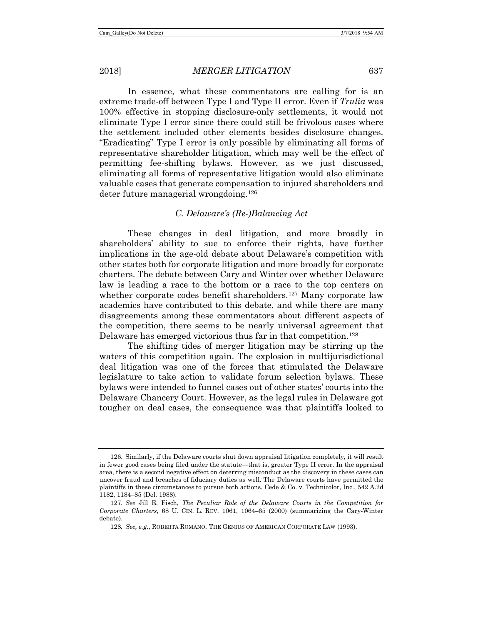In essence, what these commentators are calling for is an extreme trade-off between Type I and Type II error. Even if *Trulia* was 100% effective in stopping disclosure-only settlements, it would not eliminate Type I error since there could still be frivolous cases where the settlement included other elements besides disclosure changes. "Eradicating" Type I error is only possible by eliminating all forms of representative shareholder litigation, which may well be the effect of permitting fee-shifting bylaws. However, as we just discussed, eliminating all forms of representative litigation would also eliminate valuable cases that generate compensation to injured shareholders and deter future managerial wrongdoing.<sup>[126](#page-34-0)</sup>

# *C. Delaware's (Re-)Balancing Act*

These changes in deal litigation, and more broadly in shareholders' ability to sue to enforce their rights, have further implications in the age-old debate about Delaware's competition with other states both for corporate litigation and more broadly for corporate charters. The debate between Cary and Winter over whether Delaware law is leading a race to the bottom or a race to the top centers on whether corporate codes benefit shareholders.<sup>[127](#page-34-1)</sup> Many corporate law academics have contributed to this debate, and while there are many disagreements among these commentators about different aspects of the competition, there seems to be nearly universal agreement that Delaware has emerged victorious thus far in that competition.<sup>128</sup>

The shifting tides of merger litigation may be stirring up the waters of this competition again. The explosion in multijurisdictional deal litigation was one of the forces that stimulated the Delaware legislature to take action to validate forum selection bylaws. These bylaws were intended to funnel cases out of other states' courts into the Delaware Chancery Court. However, as the legal rules in Delaware got tougher on deal cases, the consequence was that plaintiffs looked to

<span id="page-34-0"></span><sup>126.</sup> Similarly, if the Delaware courts shut down appraisal litigation completely, it will result in fewer good cases being filed under the statute—that is, greater Type II error. In the appraisal area, there is a second negative effect on deterring misconduct as the discovery in these cases can uncover fraud and breaches of fiduciary duties as well. The Delaware courts have permitted the plaintiffs in these circumstances to pursue both actions. Cede & Co. v. Technicolor, Inc., 542 A.2d 1182, 1184–85 (Del. 1988).

<span id="page-34-2"></span><span id="page-34-1"></span><sup>127</sup>*. See* Jill E. Fisch, *The Peculiar Role of the Delaware Courts in the Competition for Corporate Charters*, 68 U. CIN. L. REV. 1061, 1064–65 (2000) (summarizing the Cary-Winter debate).

<sup>128</sup>*. See, e.g.*, ROBERTA ROMANO, THE GENIUS OF AMERICAN CORPORATE LAW (1993).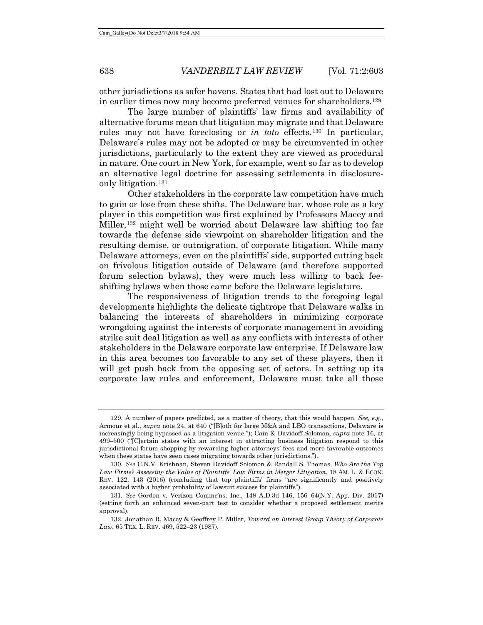other jurisdictions as safer havens. States that had lost out to Delaware in earlier times now may become preferred venues for shareholders.[129](#page-35-0)

The large number of plaintiffs' law firms and availability of alternative forums mean that litigation may migrate and that Delaware rules may not have foreclosing or *in toto* effects.[130](#page-35-1) In particular, Delaware's rules may not be adopted or may be circumvented in other jurisdictions, particularly to the extent they are viewed as procedural in nature. One court in New York, for example, went so far as to develop an alternative legal doctrine for assessing settlements in disclosureonly litigation.[131](#page-35-2)

Other stakeholders in the corporate law competition have much to gain or lose from these shifts. The Delaware bar, whose role as a key player in this competition was first explained by Professors Macey and Miller,[132](#page-35-3) might well be worried about Delaware law shifting too far towards the defense side viewpoint on shareholder litigation and the resulting demise, or outmigration, of corporate litigation. While many Delaware attorneys, even on the plaintiffs' side, supported cutting back on frivolous litigation outside of Delaware (and therefore supported forum selection bylaws), they were much less willing to back feeshifting bylaws when those came before the Delaware legislature.

The responsiveness of litigation trends to the foregoing legal developments highlights the delicate tightrope that Delaware walks in balancing the interests of shareholders in minimizing corporate wrongdoing against the interests of corporate management in avoiding strike suit deal litigation as well as any conflicts with interests of other stakeholders in the Delaware corporate law enterprise. If Delaware law in this area becomes too favorable to any set of these players, then it will get push back from the opposing set of actors. In setting up its corporate law rules and enforcement, Delaware must take all those

<span id="page-35-0"></span><sup>129.</sup> A number of papers predicted, as a matter of theory, that this would happen. *See, e.g.*, Armour et al., *supra* note [24,](#page-7-5) at 640 ("[B]oth for large M&A and LBO transactions, Delaware is increasingly being bypassed as a litigation venue."); Cain & Davidoff Solomon, *supra* not[e 16,](#page-4-3) at 499–500 ("[C]ertain states with an interest in attracting business litigation respond to this jurisdictional forum shopping by rewarding higher attorneys' fees and more favorable outcomes when these states have seen cases migrating towards other jurisdictions.").

<span id="page-35-1"></span><sup>130.</sup> *See* C.N.V. Krishnan, Steven Davidoff Solomon & Randall S. Thomas, *Who Are the Top Law Firms? Assessing the Value of Plaintiffs' Law Firms in Merger Litigation*, 18 AM. L. & ECON. REV. 122, 143 (2016) (concluding that top plaintiffs' firms "are significantly and positively associated with a higher probability of lawsuit success for plaintiffs").

<span id="page-35-2"></span><sup>131</sup>*. See* Gordon v. Verizon Commc'ns, Inc., 148 A.D.3d 146, 156–64(N.Y. App. Div. 2017) (setting forth an enhanced seven-part test to consider whether a proposed settlement merits approval).

<span id="page-35-3"></span><sup>132.</sup> Jonathan R. Macey & Geoffrey P. Miller, *Toward an Interest Group Theory of Corporate Law*, 65 TEX. L. REV. 469, 522–23 (1987).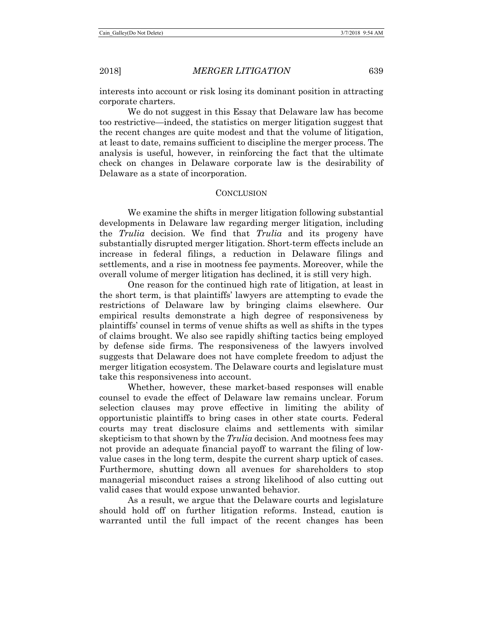interests into account or risk losing its dominant position in attracting corporate charters.

We do not suggest in this Essay that Delaware law has become too restrictive—indeed, the statistics on merger litigation suggest that the recent changes are quite modest and that the volume of litigation, at least to date, remains sufficient to discipline the merger process. The analysis is useful, however, in reinforcing the fact that the ultimate check on changes in Delaware corporate law is the desirability of Delaware as a state of incorporation.

# **CONCLUSION**

We examine the shifts in merger litigation following substantial developments in Delaware law regarding merger litigation, including the *Trulia* decision. We find that *Trulia* and its progeny have substantially disrupted merger litigation. Short-term effects include an increase in federal filings, a reduction in Delaware filings and settlements, and a rise in mootness fee payments. Moreover, while the overall volume of merger litigation has declined, it is still very high.

One reason for the continued high rate of litigation, at least in the short term, is that plaintiffs' lawyers are attempting to evade the restrictions of Delaware law by bringing claims elsewhere. Our empirical results demonstrate a high degree of responsiveness by plaintiffs' counsel in terms of venue shifts as well as shifts in the types of claims brought. We also see rapidly shifting tactics being employed by defense side firms. The responsiveness of the lawyers involved suggests that Delaware does not have complete freedom to adjust the merger litigation ecosystem. The Delaware courts and legislature must take this responsiveness into account.

Whether, however, these market-based responses will enable counsel to evade the effect of Delaware law remains unclear. Forum selection clauses may prove effective in limiting the ability of opportunistic plaintiffs to bring cases in other state courts. Federal courts may treat disclosure claims and settlements with similar skepticism to that shown by the *Trulia* decision. And mootness fees may not provide an adequate financial payoff to warrant the filing of lowvalue cases in the long term, despite the current sharp uptick of cases. Furthermore, shutting down all avenues for shareholders to stop managerial misconduct raises a strong likelihood of also cutting out valid cases that would expose unwanted behavior.

As a result, we argue that the Delaware courts and legislature should hold off on further litigation reforms. Instead, caution is warranted until the full impact of the recent changes has been